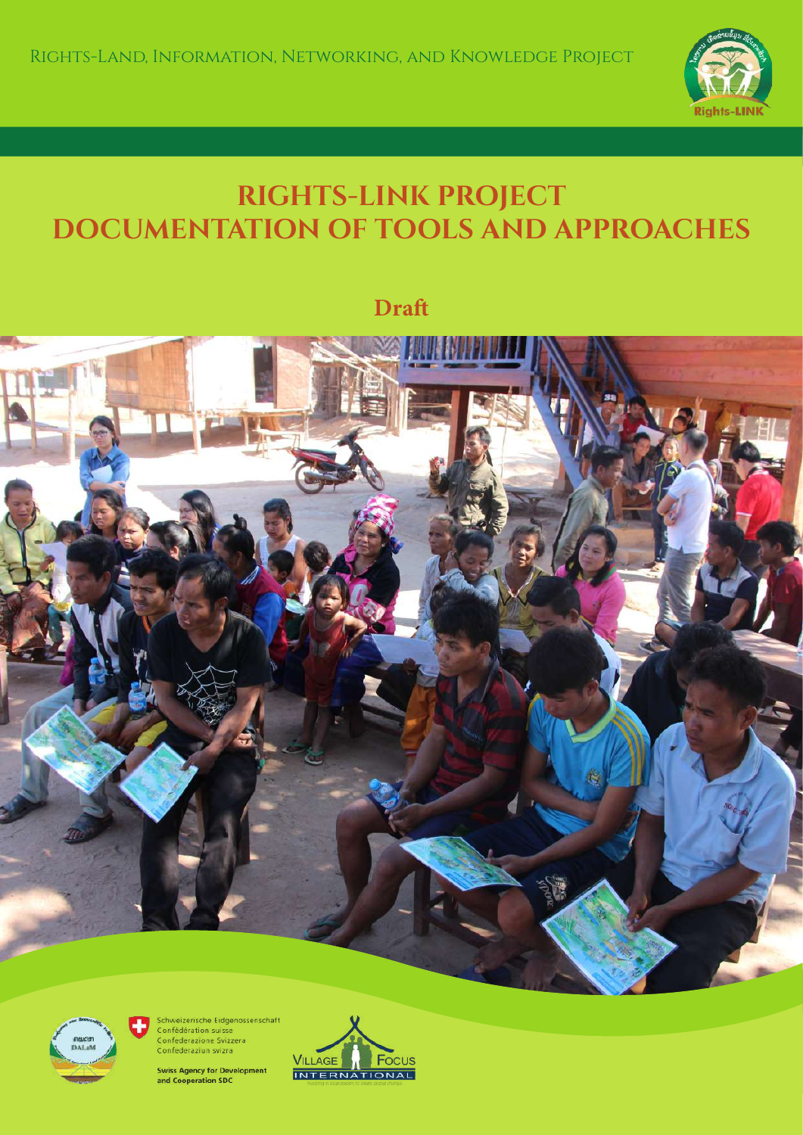

# **RIGHTS-LINK PROJECT DOCUMENTATION OF TOOLS AND APPROACHES**

**Draf**





Schweizerische Eidgenossenschaft<br>Confédération suisse Confederazione Svizzera Confederaziun svizra

**Swiss Agency for Development** and Cooperation SDC

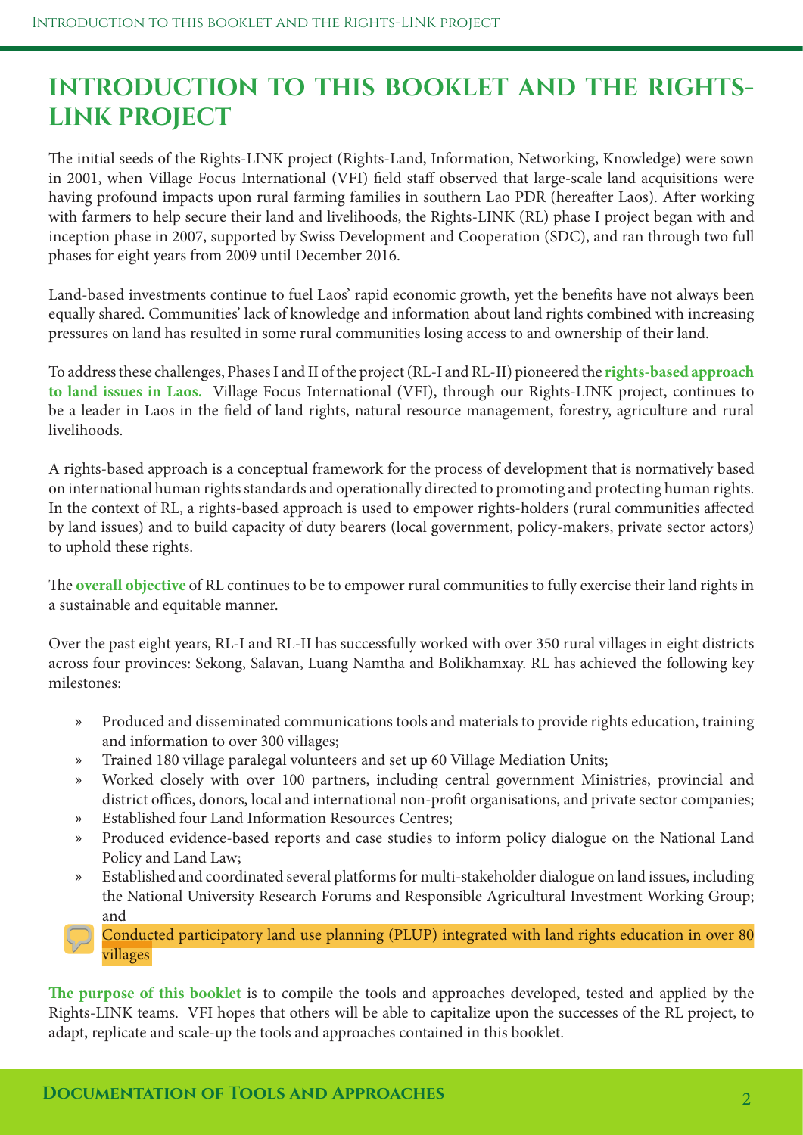## **INTRODUCTION TO THIS BOOKLET AND THE RIGHTS-LINK PROJECT**

The initial seeds of the Rights-LINK project (Rights-Land, Information, Networking, Knowledge) were sown in 2001, when Village Focus International (VFI) feld staf observed that large-scale land acquisitions were having profound impacts upon rural farming families in southern Lao PDR (hereafter Laos). After working with farmers to help secure their land and livelihoods, the Rights-LINK (RL) phase I project began with and inception phase in 2007, supported by Swiss Development and Cooperation (SDC), and ran through two full phases for eight years from 2009 until December 2016.

Land-based investments continue to fuel Laos' rapid economic growth, yet the benefts have not always been equally shared. Communities' lack of knowledge and information about land rights combined with increasing pressures on land has resulted in some rural communities losing access to and ownership of their land.

To address these challenges, Phases I and II of the project (RL-I and RL-II) pioneered the **rights-based approach to land issues in Laos.** Village Focus International (VFI), through our Rights-LINK project, continues to be a leader in Laos in the feld of land rights, natural resource management, forestry, agriculture and rural livelihoods.

A rights-based approach is a conceptual framework for the process of development that is normatively based on international human rights standards and operationally directed to promoting and protecting human rights. In the context of RL, a rights-based approach is used to empower rights-holders (rural communities afected by land issues) and to build capacity of duty bearers (local government, policy-makers, private sector actors) to uphold these rights.

The **overall objective** of RL continues to be to empower rural communities to fully exercise their land rights in a sustainable and equitable manner.

Over the past eight years, RL-I and RL-II has successfully worked with over 350 rural villages in eight districts across four provinces: Sekong, Salavan, Luang Namtha and Bolikhamxay. RL has achieved the following key milestones:

- » Produced and disseminated communications tools and materials to provide rights education, training and information to over 300 villages;
- » Trained 180 village paralegal volunteers and set up 60 Village Mediation Units;
- » Worked closely with over 100 partners, including central government Ministries, provincial and district offices, donors, local and international non-profit organisations, and private sector companies;
- » Established four Land Information Resources Centres;
- » Produced evidence-based reports and case studies to inform policy dialogue on the National Land Policy and Land Law;
- » Established and coordinated several platforms for multi-stakeholder dialogue on land issues, including the National University Research Forums and Responsible Agricultural Investment Working Group; and
- » Conducted participatory land use planning (PLUP) integrated with land rights education in over 80 villages

**Te purpose of this booklet** is to compile the tools and approaches developed, tested and applied by the Rights-LINK teams. VFI hopes that others will be able to capitalize upon the successes of the RL project, to adapt, replicate and scale-up the tools and approaches contained in this booklet.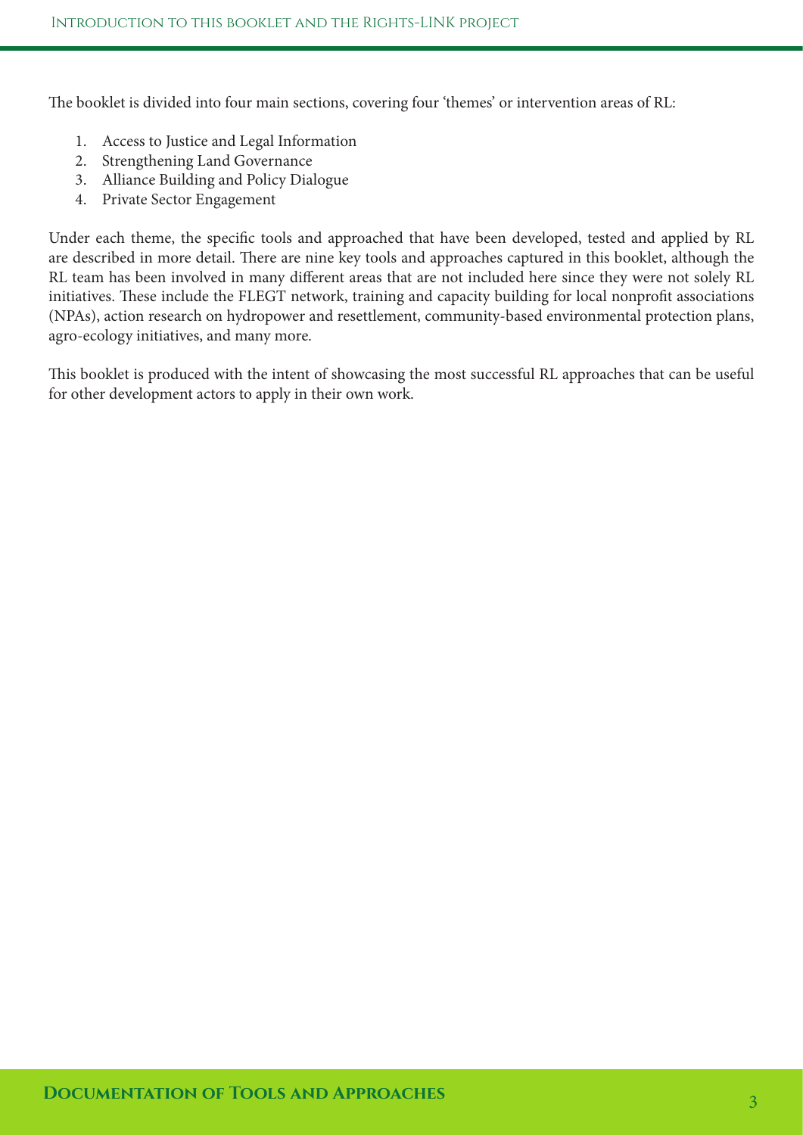The booklet is divided into four main sections, covering four 'themes' or intervention areas of RL:

- 1. Access to Justice and Legal Information
- 2. Strengthening Land Governance
- 3. Alliance Building and Policy Dialogue
- 4. Private Sector Engagement

Under each theme, the specifc tools and approached that have been developed, tested and applied by RL are described in more detail. There are nine key tools and approaches captured in this booklet, although the RL team has been involved in many diferent areas that are not included here since they were not solely RL initiatives. These include the FLEGT network, training and capacity building for local nonprofit associations (NPAs), action research on hydropower and resettlement, community-based environmental protection plans, agro-ecology initiatives, and many more.

This booklet is produced with the intent of showcasing the most successful RL approaches that can be useful for other development actors to apply in their own work.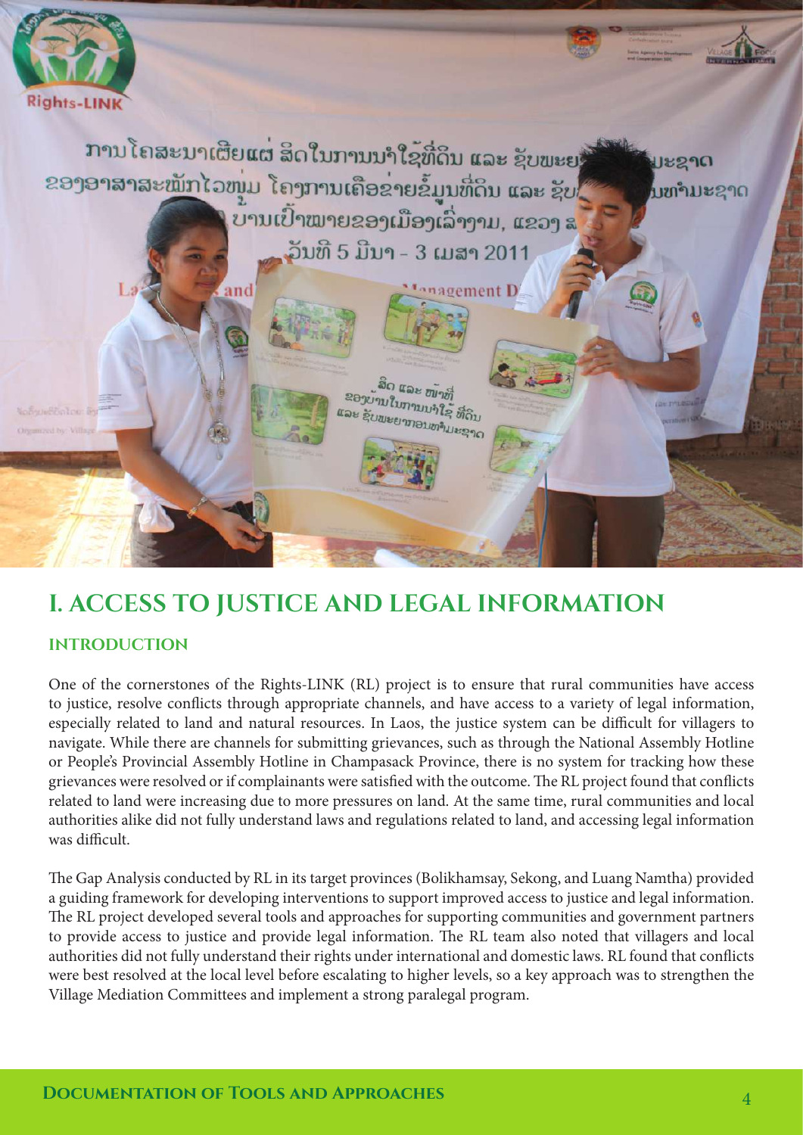

## **I. ACCESS TO JUSTICE AND LEGAL INFORMATION**

#### **INTRODUCTION**

One of the cornerstones of the Rights-LINK (RL) project is to ensure that rural communities have access to justice, resolve conficts through appropriate channels, and have access to a variety of legal information, especially related to land and natural resources. In Laos, the justice system can be difficult for villagers to navigate. While there are channels for submitting grievances, such as through the National Assembly Hotline or People's Provincial Assembly Hotline in Champasack Province, there is no system for tracking how these grievances were resolved or if complainants were satisfied with the outcome. The RL project found that conflicts related to land were increasing due to more pressures on land. At the same time, rural communities and local authorities alike did not fully understand laws and regulations related to land, and accessing legal information was difficult.

The Gap Analysis conducted by RL in its target provinces (Bolikhamsay, Sekong, and Luang Namtha) provided a guiding framework for developing interventions to support improved access to justice and legal information. The RL project developed several tools and approaches for supporting communities and government partners to provide access to justice and provide legal information. The RL team also noted that villagers and local authorities did not fully understand their rights under international and domestic laws. RL found that conficts were best resolved at the local level before escalating to higher levels, so a key approach was to strengthen the Village Mediation Committees and implement a strong paralegal program.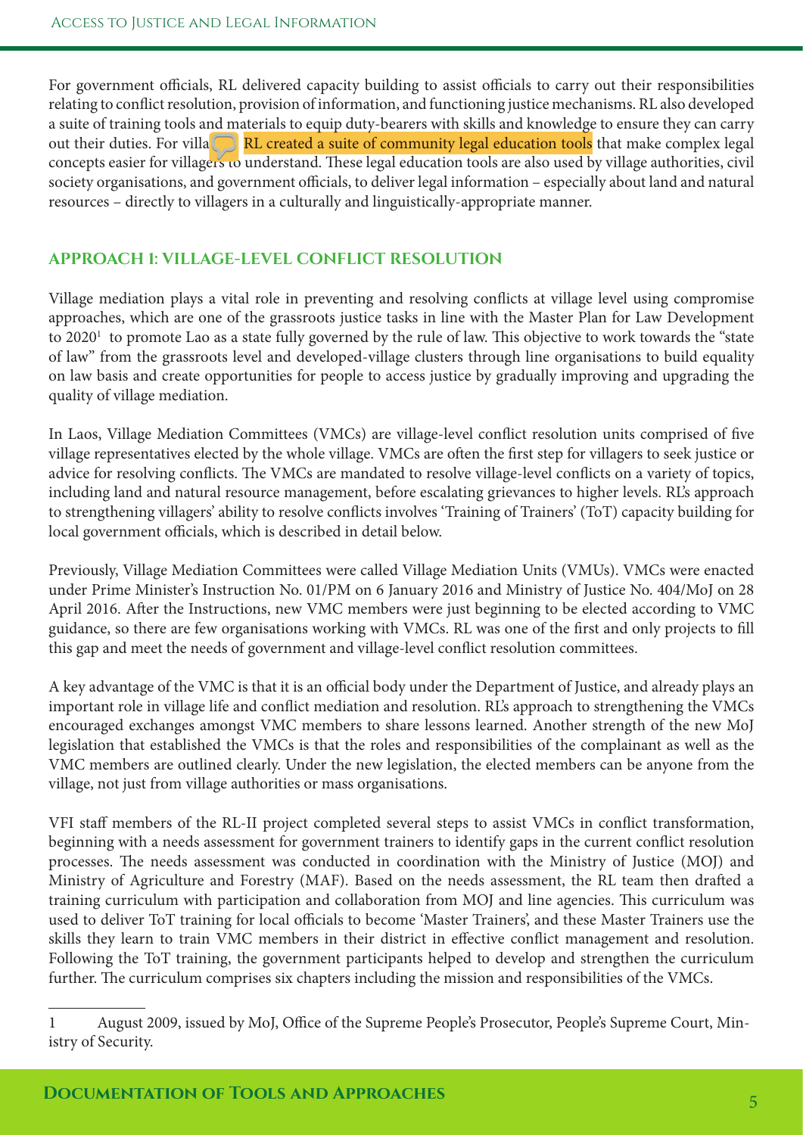For government officials, RL delivered capacity building to assist officials to carry out their responsibilities relating to confict resolution, provision of information, and functioning justice mechanisms. RL also developed a suite of training tools and materials to equip duty-bearers with skills and knowledge to ensure they can carry out their duties. For villagers, RL created a suite of community legal education tools that make complex legal concepts easier for villagers to understand. These legal education tools are also used by village authorities, civil society organisations, and government officials, to deliver legal information – especially about land and natural resources – directly to villagers in a culturally and linguistically-appropriate manner.

#### **APPROACH 1: VILLAGE-LEVEL CONFLICT RESOLUTION**

Village mediation plays a vital role in preventing and resolving conficts at village level using compromise approaches, which are one of the grassroots justice tasks in line with the Master Plan for Law Development to 2020<sup>1</sup> to promote Lao as a state fully governed by the rule of law. This objective to work towards the "state of law" from the grassroots level and developed-village clusters through line organisations to build equality on law basis and create opportunities for people to access justice by gradually improving and upgrading the quality of village mediation.

In Laos, Village Mediation Committees (VMCs) are village-level confict resolution units comprised of fve village representatives elected by the whole village. VMCs are ofen the frst step for villagers to seek justice or advice for resolving conflicts. The VMCs are mandated to resolve village-level conflicts on a variety of topics, including land and natural resource management, before escalating grievances to higher levels. RL's approach to strengthening villagers' ability to resolve conficts involves 'Training of Trainers' (ToT) capacity building for local government officials, which is described in detail below.

Previously, Village Mediation Committees were called Village Mediation Units (VMUs). VMCs were enacted under Prime Minister's Instruction No. 01/PM on 6 January 2016 and Ministry of Justice No. 404/MoJ on 28 April 2016. Afer the Instructions, new VMC members were just beginning to be elected according to VMC guidance, so there are few organisations working with VMCs. RL was one of the frst and only projects to fll this gap and meet the needs of government and village-level confict resolution committees.

A key advantage of the VMC is that it is an official body under the Department of Justice, and already plays an important role in village life and confict mediation and resolution. RL's approach to strengthening the VMCs encouraged exchanges amongst VMC members to share lessons learned. Another strength of the new MoJ legislation that established the VMCs is that the roles and responsibilities of the complainant as well as the VMC members are outlined clearly. Under the new legislation, the elected members can be anyone from the village, not just from village authorities or mass organisations.

VFI staf members of the RL-II project completed several steps to assist VMCs in confict transformation, beginning with a needs assessment for government trainers to identify gaps in the current confict resolution processes. The needs assessment was conducted in coordination with the Ministry of Justice (MOJ) and Ministry of Agriculture and Forestry (MAF). Based on the needs assessment, the RL team then drafed a training curriculum with participation and collaboration from MOJ and line agencies. Tis curriculum was used to deliver ToT training for local officials to become 'Master Trainers', and these Master Trainers use the skills they learn to train VMC members in their district in efective confict management and resolution. Following the ToT training, the government participants helped to develop and strengthen the curriculum further. The curriculum comprises six chapters including the mission and responsibilities of the VMCs.

<sup>1</sup> August 2009, issued by MoJ, Office of the Supreme People's Prosecutor, People's Supreme Court, Ministry of Security.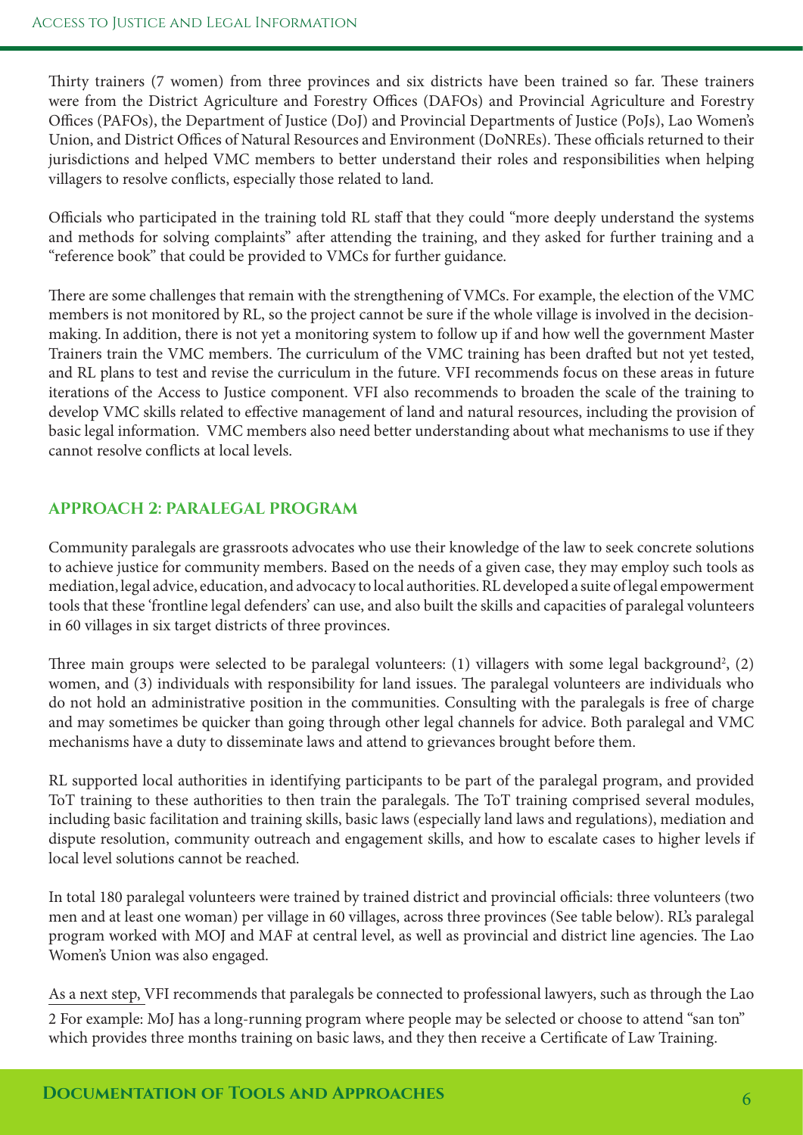Thirty trainers (7 women) from three provinces and six districts have been trained so far. These trainers were from the District Agriculture and Forestry Offices (DAFOs) and Provincial Agriculture and Forestry Offices (PAFOs), the Department of Justice (DoJ) and Provincial Departments of Justice (PoJs), Lao Women's Union, and District Offices of Natural Resources and Environment (DoNREs). These officials returned to their jurisdictions and helped VMC members to better understand their roles and responsibilities when helping villagers to resolve conficts, especially those related to land.

Officials who participated in the training told RL staff that they could "more deeply understand the systems and methods for solving complaints" afer attending the training, and they asked for further training and a "reference book" that could be provided to VMCs for further guidance.

There are some challenges that remain with the strengthening of VMCs. For example, the election of the VMC members is not monitored by RL, so the project cannot be sure if the whole village is involved in the decisionmaking. In addition, there is not yet a monitoring system to follow up if and how well the government Master Trainers train the VMC members. The curriculum of the VMC training has been drafted but not yet tested, and RL plans to test and revise the curriculum in the future. VFI recommends focus on these areas in future iterations of the Access to Justice component. VFI also recommends to broaden the scale of the training to develop VMC skills related to efective management of land and natural resources, including the provision of basic legal information. VMC members also need better understanding about what mechanisms to use if they cannot resolve conficts at local levels.

#### **APPROACH 2: PARALEGAL PROGRAM**

Community paralegals are grassroots advocates who use their knowledge of the law to seek concrete solutions to achieve justice for community members. Based on the needs of a given case, they may employ such tools as mediation, legal advice, education, and advocacy to local authorities. RL developed a suite of legal empowerment tools that these 'frontline legal defenders' can use, and also built the skills and capacities of paralegal volunteers in 60 villages in six target districts of three provinces.

Three main groups were selected to be paralegal volunteers: (1) villagers with some legal background<sup>2</sup>, (2) women, and (3) individuals with responsibility for land issues. The paralegal volunteers are individuals who do not hold an administrative position in the communities. Consulting with the paralegals is free of charge and may sometimes be quicker than going through other legal channels for advice. Both paralegal and VMC mechanisms have a duty to disseminate laws and attend to grievances brought before them.

RL supported local authorities in identifying participants to be part of the paralegal program, and provided ToT training to these authorities to then train the paralegals. The ToT training comprised several modules, including basic facilitation and training skills, basic laws (especially land laws and regulations), mediation and dispute resolution, community outreach and engagement skills, and how to escalate cases to higher levels if local level solutions cannot be reached.

In total 180 paralegal volunteers were trained by trained district and provincial officials: three volunteers (two men and at least one woman) per village in 60 villages, across three provinces (See table below). RL's paralegal program worked with MOJ and MAF at central level, as well as provincial and district line agencies. The Lao Women's Union was also engaged.

As a next step, VFI recommends that paralegals be connected to professional lawyers, such as through the Lao

2 For example: MoJ has a long-running program where people may be selected or choose to attend "san ton" which provides three months training on basic laws, and they then receive a Certifcate of Law Training.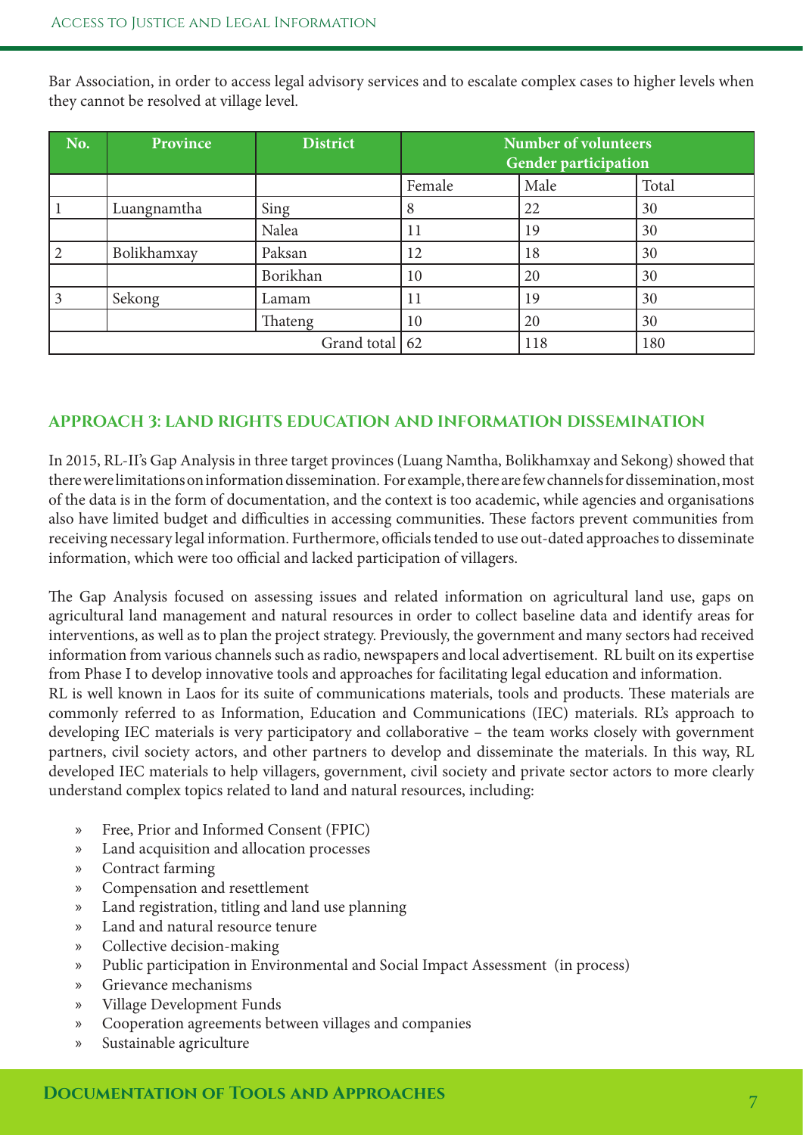Bar Association, in order to access legal advisory services and to escalate complex cases to higher levels when they cannot be resolved at village level.

| No.              | Province    | District | <b>Number of volunteers</b><br><b>Gender participation</b> |      |       |
|------------------|-------------|----------|------------------------------------------------------------|------|-------|
|                  |             |          | Female                                                     | Male | Total |
|                  | Luangnamtha | Sing     | 8                                                          | 22   | 30    |
|                  |             | Nalea    | 11                                                         | 19   | 30    |
| $\mathcal{D}$    | Bolikhamxay | Paksan   | 12                                                         | 18   | 30    |
|                  |             | Borikhan | 10                                                         | 20   | 30    |
|                  | Sekong      | Lamam    | 11                                                         | 19   | 30    |
|                  |             | Thateng  | 10                                                         | 20   | 30    |
| Grand total   62 |             |          |                                                            | 118  | 180   |

#### **APPROACH 3: LAND RIGHTS EDUCATION AND INFORMATION DISSEMINATION**

In 2015, RL-II's Gap Analysis in three target provinces (Luang Namtha, Bolikhamxay and Sekong) showed that there were limitations on information dissemination. For example, there are few channels for dissemination, most of the data is in the form of documentation, and the context is too academic, while agencies and organisations also have limited budget and difficulties in accessing communities. These factors prevent communities from receiving necessary legal information. Furthermore, officials tended to use out-dated approaches to disseminate information, which were too official and lacked participation of villagers.

The Gap Analysis focused on assessing issues and related information on agricultural land use, gaps on agricultural land management and natural resources in order to collect baseline data and identify areas for interventions, as well as to plan the project strategy. Previously, the government and many sectors had received information from various channels such as radio, newspapers and local advertisement. RL built on its expertise from Phase I to develop innovative tools and approaches for facilitating legal education and information.

RL is well known in Laos for its suite of communications materials, tools and products. These materials are commonly referred to as Information, Education and Communications (IEC) materials. RL's approach to developing IEC materials is very participatory and collaborative – the team works closely with government partners, civil society actors, and other partners to develop and disseminate the materials. In this way, RL developed IEC materials to help villagers, government, civil society and private sector actors to more clearly understand complex topics related to land and natural resources, including:

- » Free, Prior and Informed Consent (FPIC)
- » Land acquisition and allocation processes
- » Contract farming
- » Compensation and resettlement
- » Land registration, titling and land use planning
- » Land and natural resource tenure
- » Collective decision-making
- » Public participation in Environmental and Social Impact Assessment (in process)
- » Grievance mechanisms
- » Village Development Funds
- » Cooperation agreements between villages and companies
- » Sustainable agriculture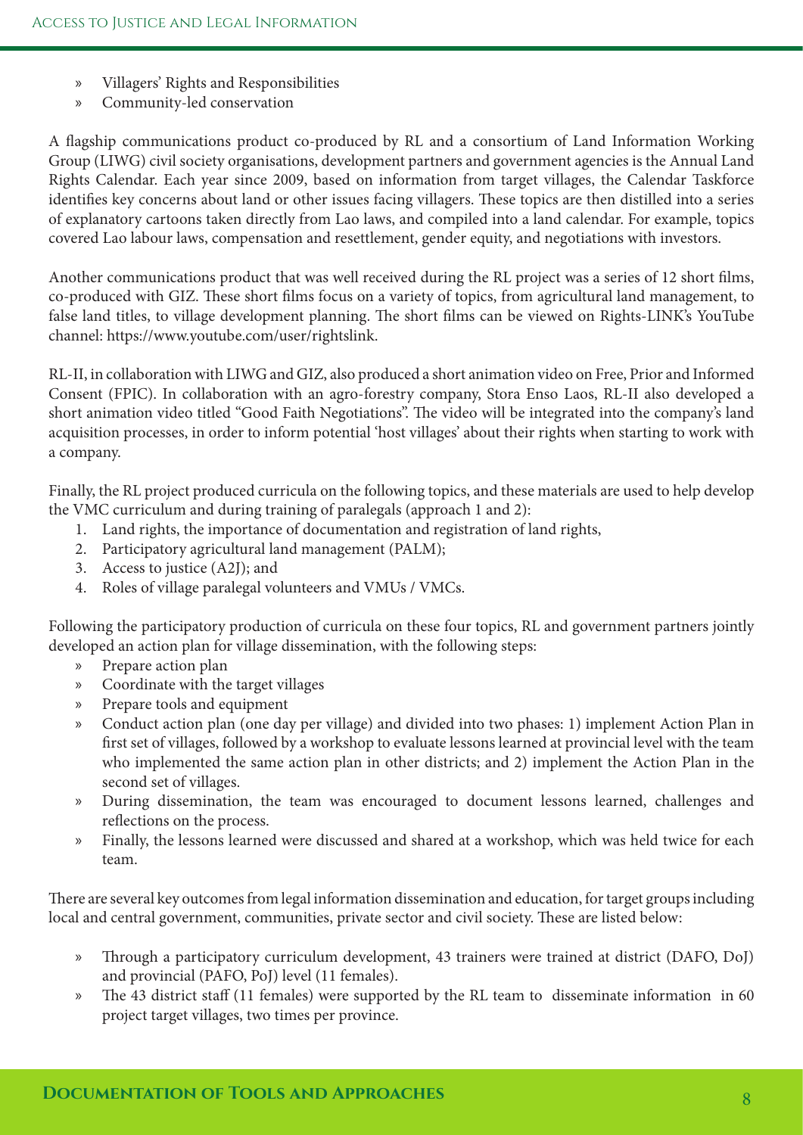- » Villagers' Rights and Responsibilities
- » Community-led conservation

A fagship communications product co-produced by RL and a consortium of Land Information Working Group (LIWG) civil society organisations, development partners and government agencies is the Annual Land Rights Calendar. Each year since 2009, based on information from target villages, the Calendar Taskforce identifies key concerns about land or other issues facing villagers. These topics are then distilled into a series of explanatory cartoons taken directly from Lao laws, and compiled into a land calendar. For example, topics covered Lao labour laws, compensation and resettlement, gender equity, and negotiations with investors.

Another communications product that was well received during the RL project was a series of 12 short flms, co-produced with GIZ. These short films focus on a variety of topics, from agricultural land management, to false land titles, to village development planning. The short films can be viewed on Rights-LINK's YouTube channel: https://www.youtube.com/user/rightslink.

RL-II, in collaboration with LIWG and GIZ, also produced a short animation video on Free, Prior and Informed Consent (FPIC). In collaboration with an agro-forestry company, Stora Enso Laos, RL-II also developed a short animation video titled "Good Faith Negotiations". The video will be integrated into the company's land acquisition processes, in order to inform potential 'host villages' about their rights when starting to work with a company.

Finally, the RL project produced curricula on the following topics, and these materials are used to help develop the VMC curriculum and during training of paralegals (approach 1 and 2):

- 1. Land rights, the importance of documentation and registration of land rights,
- 2. Participatory agricultural land management (PALM);
- 3. Access to justice (A2J); and
- 4. Roles of village paralegal volunteers and VMUs / VMCs.

Following the participatory production of curricula on these four topics, RL and government partners jointly developed an action plan for village dissemination, with the following steps:

- » Prepare action plan
- » Coordinate with the target villages
- » Prepare tools and equipment
- » Conduct action plan (one day per village) and divided into two phases: 1) implement Action Plan in frst set of villages, followed by a workshop to evaluate lessons learned at provincial level with the team who implemented the same action plan in other districts; and 2) implement the Action Plan in the second set of villages.
- » During dissemination, the team was encouraged to document lessons learned, challenges and refections on the process.
- » Finally, the lessons learned were discussed and shared at a workshop, which was held twice for each team.

There are several key outcomes from legal information dissemination and education, for target groups including local and central government, communities, private sector and civil society. These are listed below:

- » Through a participatory curriculum development, 43 trainers were trained at district (DAFO, DoJ) and provincial (PAFO, PoJ) level (11 females).
- » The 43 district staff (11 females) were supported by the RL team to disseminate information in 60 project target villages, two times per province.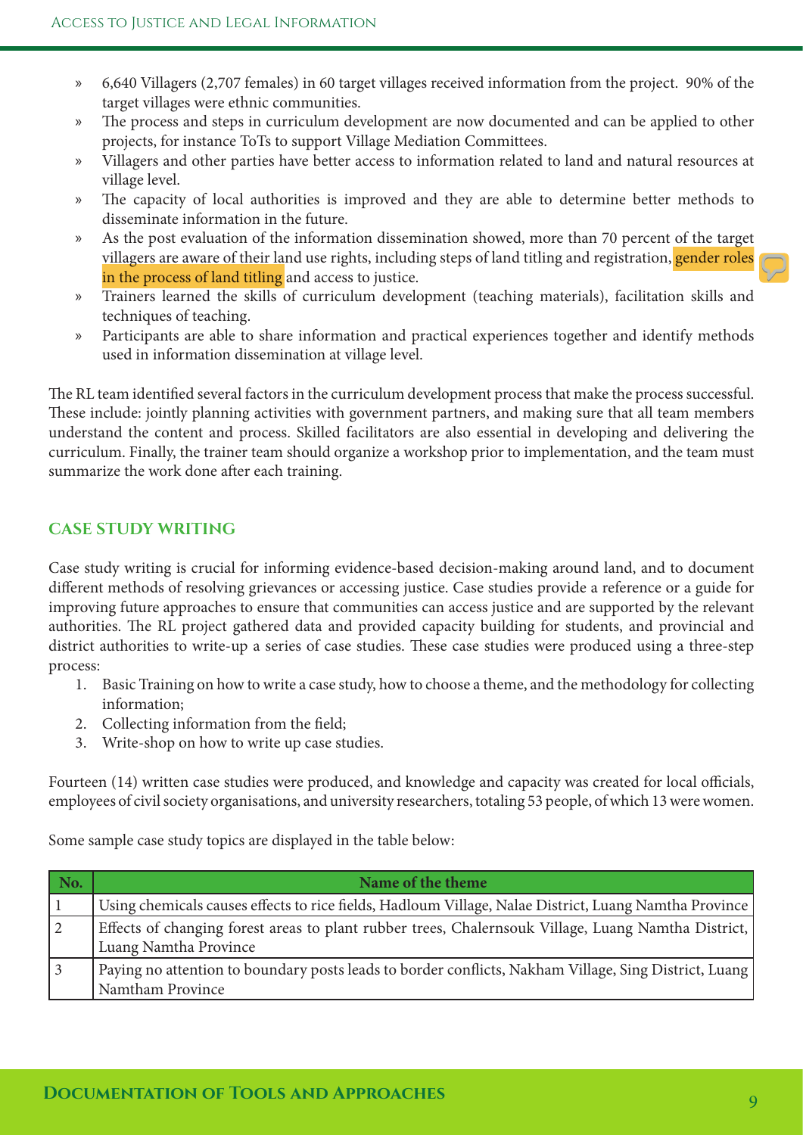- » 6,640 Villagers (2,707 females) in 60 target villages received information from the project. 90% of the target villages were ethnic communities.
- » The process and steps in curriculum development are now documented and can be applied to other projects, for instance ToTs to support Village Mediation Committees.
- » Villagers and other parties have better access to information related to land and natural resources at village level.
- » The capacity of local authorities is improved and they are able to determine better methods to disseminate information in the future.
- » As the post evaluation of the information dissemination showed, more than 70 percent of the target villagers are aware of their land use rights, including steps of land titling and registration, gender roles in the process of land titling and access to justice.
- » Trainers learned the skills of curriculum development (teaching materials), facilitation skills and techniques of teaching.
- » Participants are able to share information and practical experiences together and identify methods used in information dissemination at village level.

The RL team identified several factors in the curriculum development process that make the process successful. These include: jointly planning activities with government partners, and making sure that all team members understand the content and process. Skilled facilitators are also essential in developing and delivering the curriculum. Finally, the trainer team should organize a workshop prior to implementation, and the team must summarize the work done after each training.

### **CASE STUDY WRITING**

Case study writing is crucial for informing evidence-based decision-making around land, and to document diferent methods of resolving grievances or accessing justice. Case studies provide a reference or a guide for improving future approaches to ensure that communities can access justice and are supported by the relevant authorities. The RL project gathered data and provided capacity building for students, and provincial and district authorities to write-up a series of case studies. These case studies were produced using a three-step process:

- 1. Basic Training on how to write a case study, how to choose a theme, and the methodology for collecting information;
- 2. Collecting information from the feld;
- 3. Write-shop on how to write up case studies.

Fourteen (14) written case studies were produced, and knowledge and capacity was created for local officials, employees of civil society organisations, and university researchers, totaling 53 people, of which 13 were women.

Some sample case study topics are displayed in the table below:

| No.             | Name of the theme                                                                                                            |
|-----------------|------------------------------------------------------------------------------------------------------------------------------|
|                 | Using chemicals causes effects to rice fields, Hadloum Village, Nalae District, Luang Namtha Province                        |
| $\vert 2 \vert$ | Effects of changing forest areas to plant rubber trees, Chalernsouk Village, Luang Namtha District,<br>Luang Namtha Province |
| $\vert 3 \vert$ | Paying no attention to boundary posts leads to border conflicts, Nakham Village, Sing District, Luang<br>Namtham Province    |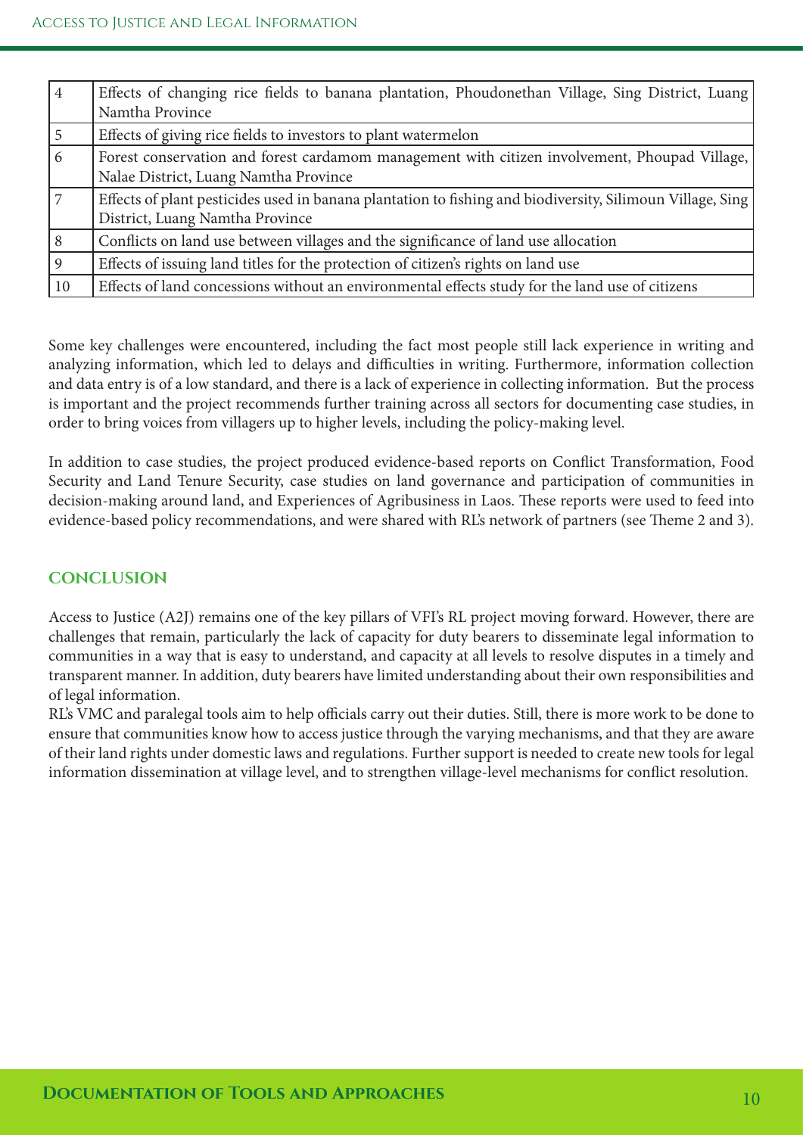| 4              | Effects of changing rice fields to banana plantation, Phoudonethan Village, Sing District, Luang                                             |
|----------------|----------------------------------------------------------------------------------------------------------------------------------------------|
|                | Namtha Province                                                                                                                              |
| 5              | Effects of giving rice fields to investors to plant watermelon                                                                               |
| $\overline{6}$ | Forest conservation and forest cardamom management with citizen involvement, Phoupad Village,<br>Nalae District, Luang Namtha Province       |
| $\overline{7}$ | Effects of plant pesticides used in banana plantation to fishing and biodiversity, Silimoun Village, Sing<br>District, Luang Namtha Province |
| 8              | Conflicts on land use between villages and the significance of land use allocation                                                           |
| $\overline{9}$ | Effects of issuing land titles for the protection of citizen's rights on land use                                                            |
| 10             | Effects of land concessions without an environmental effects study for the land use of citizens                                              |

Some key challenges were encountered, including the fact most people still lack experience in writing and analyzing information, which led to delays and difficulties in writing. Furthermore, information collection and data entry is of a low standard, and there is a lack of experience in collecting information. But the process is important and the project recommends further training across all sectors for documenting case studies, in order to bring voices from villagers up to higher levels, including the policy-making level.

In addition to case studies, the project produced evidence-based reports on Confict Transformation, Food Security and Land Tenure Security, case studies on land governance and participation of communities in decision-making around land, and Experiences of Agribusiness in Laos. These reports were used to feed into evidence-based policy recommendations, and were shared with RL's network of partners (see Theme 2 and 3).

#### **CONCLUSION**

Access to Justice (A2J) remains one of the key pillars of VFI's RL project moving forward. However, there are challenges that remain, particularly the lack of capacity for duty bearers to disseminate legal information to communities in a way that is easy to understand, and capacity at all levels to resolve disputes in a timely and transparent manner. In addition, duty bearers have limited understanding about their own responsibilities and of legal information.

RL's VMC and paralegal tools aim to help officials carry out their duties. Still, there is more work to be done to ensure that communities know how to access justice through the varying mechanisms, and that they are aware of their land rights under domestic laws and regulations. Further support is needed to create new tools for legal information dissemination at village level, and to strengthen village-level mechanisms for confict resolution.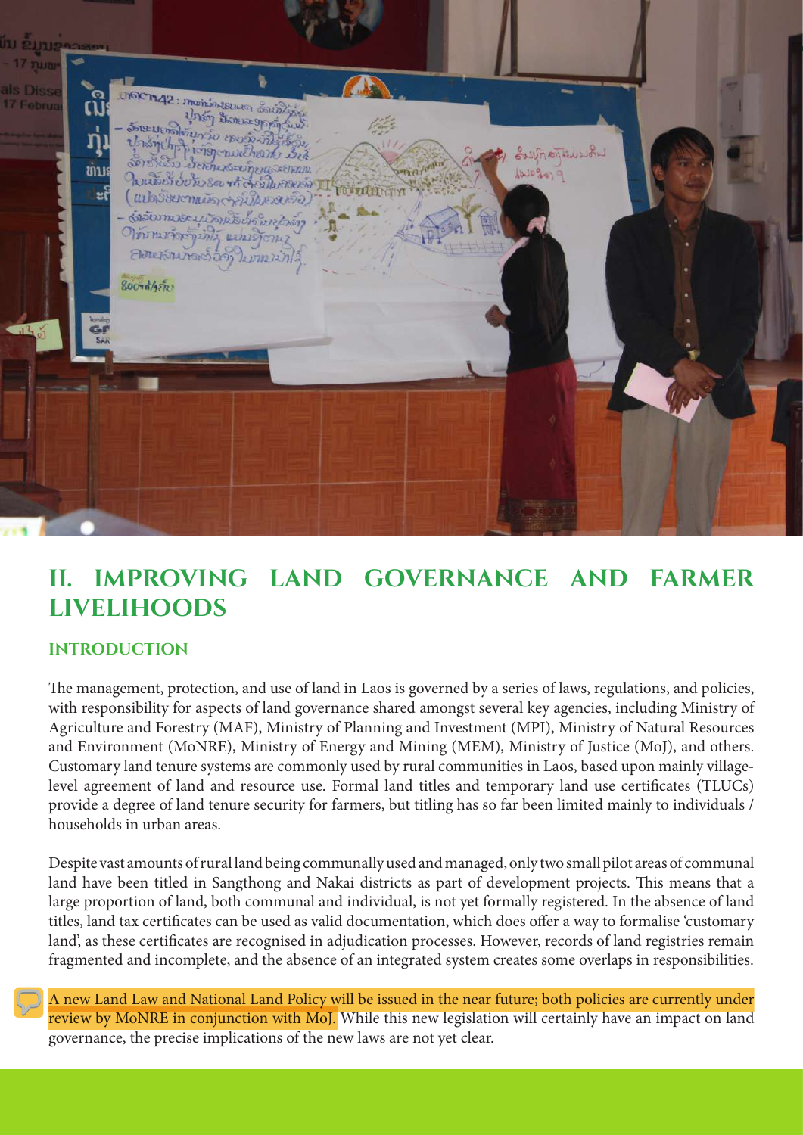

## **II. IMPROVING LAND GOVERNANCE AND FARMER LIVELIHOODS**

#### **INTRODUCTION**

The management, protection, and use of land in Laos is governed by a series of laws, regulations, and policies, with responsibility for aspects of land governance shared amongst several key agencies, including Ministry of Agriculture and Forestry (MAF), Ministry of Planning and Investment (MPI), Ministry of Natural Resources and Environment (MoNRE), Ministry of Energy and Mining (MEM), Ministry of Justice (MoJ), and others. Customary land tenure systems are commonly used by rural communities in Laos, based upon mainly villagelevel agreement of land and resource use. Formal land titles and temporary land use certifcates (TLUCs) provide a degree of land tenure security for farmers, but titling has so far been limited mainly to individuals / households in urban areas.

Despite vast amounts of rural land being communally used and managed, only two small pilot areas of communal land have been titled in Sangthong and Nakai districts as part of development projects. This means that a large proportion of land, both communal and individual, is not yet formally registered. In the absence of land titles, land tax certifcates can be used as valid documentation, which does ofer a way to formalise 'customary land', as these certifcates are recognised in adjudication processes. However, records of land registries remain fragmented and incomplete, and the absence of an integrated system creates some overlaps in responsibilities.

A new Land Law and National Land Policy will be issued in the near future; both policies are currently under review by MoNRE in conjunction with MoJ. While this new legislation will certainly have an impact on land governance, the precise implications of the new laws are not yet clear.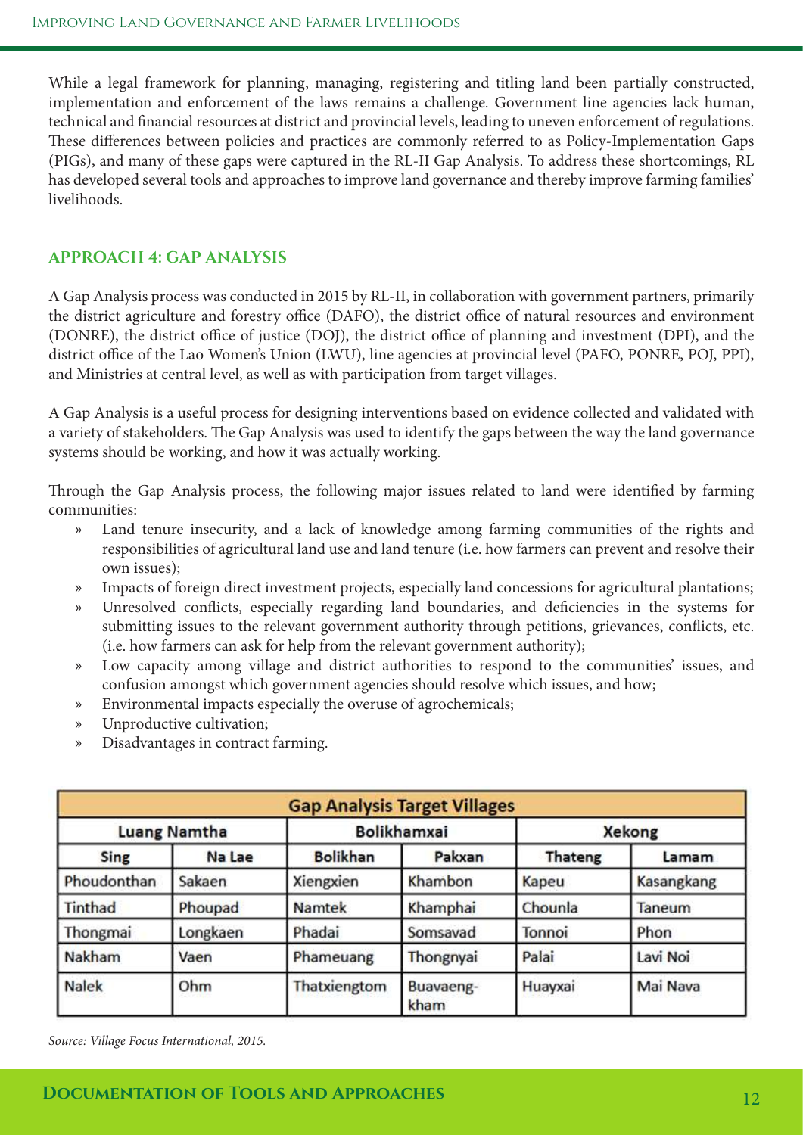While a legal framework for planning, managing, registering and titling land been partially constructed, implementation and enforcement of the laws remains a challenge. Government line agencies lack human, technical and fnancial resources at district and provincial levels, leading to uneven enforcement of regulations. These differences between policies and practices are commonly referred to as Policy-Implementation Gaps (PIGs), and many of these gaps were captured in the RL-II Gap Analysis. To address these shortcomings, RL has developed several tools and approaches to improve land governance and thereby improve farming families' livelihoods.

#### **APPROACH 4: GAP ANALYSIS**

A Gap Analysis process was conducted in 2015 by RL-II, in collaboration with government partners, primarily the district agriculture and forestry office (DAFO), the district office of natural resources and environment (DONRE), the district office of justice (DOJ), the district office of planning and investment (DPI), and the district office of the Lao Women's Union (LWU), line agencies at provincial level (PAFO, PONRE, POJ, PPI), and Ministries at central level, as well as with participation from target villages.

A Gap Analysis is a useful process for designing interventions based on evidence collected and validated with a variety of stakeholders. The Gap Analysis was used to identify the gaps between the way the land governance systems should be working, and how it was actually working.

Trough the Gap Analysis process, the following major issues related to land were identifed by farming communities:

- » Land tenure insecurity, and a lack of knowledge among farming communities of the rights and responsibilities of agricultural land use and land tenure (i.e. how farmers can prevent and resolve their own issues);
- » Impacts of foreign direct investment projects, especially land concessions for agricultural plantations;
- » Unresolved conficts, especially regarding land boundaries, and defciencies in the systems for submitting issues to the relevant government authority through petitions, grievances, conficts, etc. (i.e. how farmers can ask for help from the relevant government authority);
- » Low capacity among village and district authorities to respond to the communities' issues, and confusion amongst which government agencies should resolve which issues, and how;
- » Environmental impacts especially the overuse of agrochemicals;
- » Unproductive cultivation;
- » Disadvantages in contract farming.

| <b>Gap Analysis Target Villages</b> |          |                    |                   |                |            |
|-------------------------------------|----------|--------------------|-------------------|----------------|------------|
| <b>Luang Namtha</b>                 |          | <b>Bolikhamxai</b> |                   | <b>Xekong</b>  |            |
| Sing                                | Na Lae   | <b>Bolikhan</b>    | Pakxan            | <b>Thateng</b> | Lamam      |
| Phoudonthan                         | Sakaen   | Xiengxien          | Khambon           | Kapeu          | Kasangkang |
| Tinthad                             | Phoupad  | <b>Namtek</b>      | Khamphai          | Chounla        | Taneum     |
| Thongmai                            | Longkaen | Phadai             | Somsavad          | Tonnoi         | Phon       |
| Nakham                              | Vaen     | Phameuang          | Thongnyai         | Palai          | Lavi Noi   |
| <b>Nalek</b>                        | Ohm      | Thatxiengtom       | Buavaeng-<br>kham | Huayxai        | Mai Nava   |

*Source: Village Focus International, 2015.*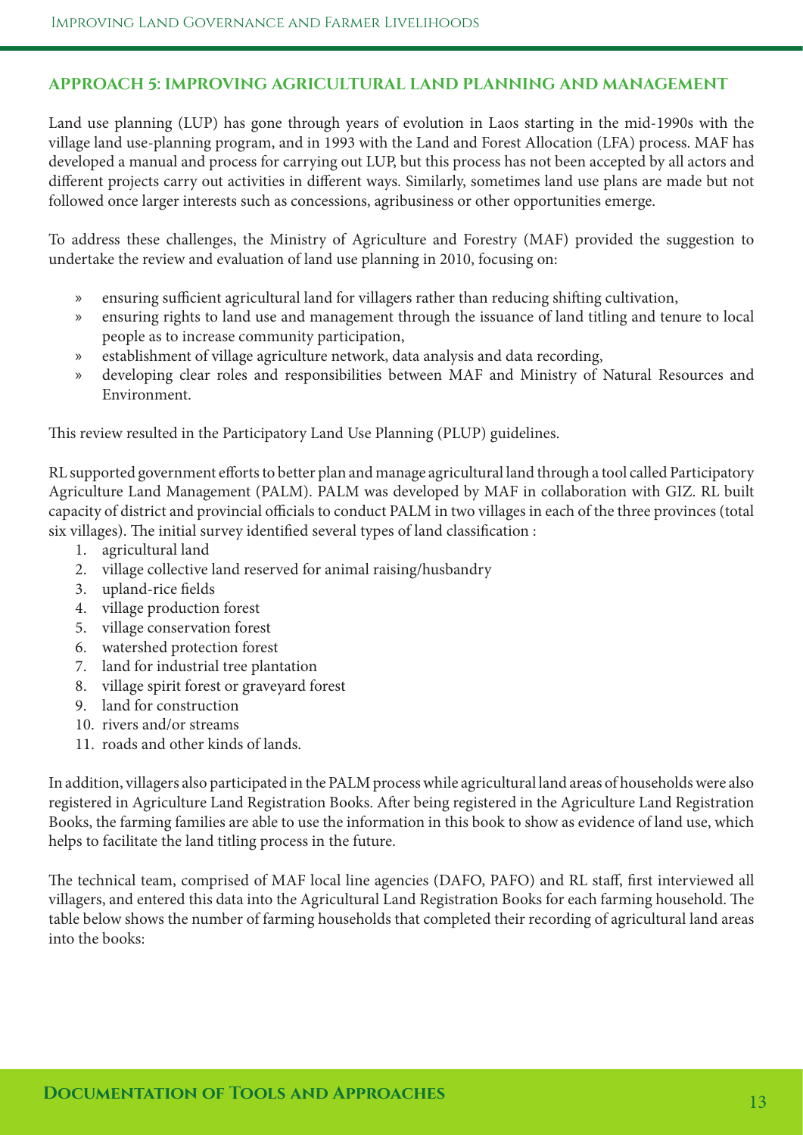#### **APPROACH 5: IMPROVING AGRICULTURAL LAND PLANNING AND MANAGEMENT**

Land use planning (LUP) has gone through years of evolution in Laos starting in the mid-1990s with the village land use-planning program, and in 1993 with the Land and Forest Allocation (LFA) process. MAF has developed a manual and process for carrying out LUP, but this process has not been accepted by all actors and diferent projects carry out activities in diferent ways. Similarly, sometimes land use plans are made but not followed once larger interests such as concessions, agribusiness or other opportunities emerge.

To address these challenges, the Ministry of Agriculture and Forestry (MAF) provided the suggestion to undertake the review and evaluation of land use planning in 2010, focusing on:

- » ensuring sufficient agricultural land for villagers rather than reducing shifting cultivation,
- » ensuring rights to land use and management through the issuance of land titling and tenure to local people as to increase community participation,
- » establishment of village agriculture network, data analysis and data recording,
- » developing clear roles and responsibilities between MAF and Ministry of Natural Resources and Environment.

This review resulted in the Participatory Land Use Planning (PLUP) guidelines.

RL supported government eforts to better plan and manage agricultural land through a tool called Participatory Agriculture Land Management (PALM). PALM was developed by MAF in collaboration with GIZ. RL built capacity of district and provincial officials to conduct PALM in two villages in each of the three provinces (total six villages). The initial survey identified several types of land classification :

- 1. agricultural land
- 2. village collective land reserved for animal raising/husbandry
- 3. upland-rice felds
- 4. village production forest
- 5. village conservation forest
- 6. watershed protection forest
- 7. land for industrial tree plantation
- 8. village spirit forest or graveyard forest
- 9. land for construction
- 10. rivers and/or streams
- 11. roads and other kinds of lands.

In addition, villagers also participated in the PALM process while agricultural land areas of households were also registered in Agriculture Land Registration Books. Afer being registered in the Agriculture Land Registration Books, the farming families are able to use the information in this book to show as evidence of land use, which helps to facilitate the land titling process in the future.

The technical team, comprised of MAF local line agencies (DAFO, PAFO) and RL staff, first interviewed all villagers, and entered this data into the Agricultural Land Registration Books for each farming household. The table below shows the number of farming households that completed their recording of agricultural land areas into the books: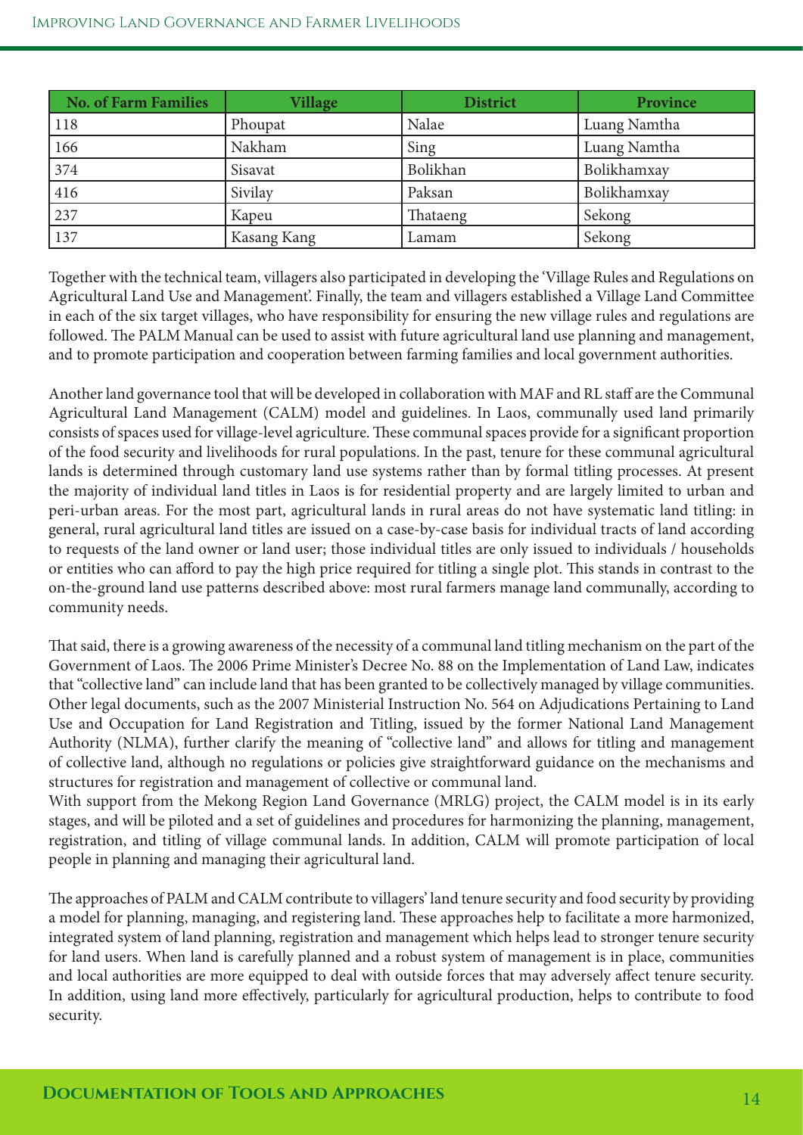| <b>No. of Farm Families</b> | <b>Village</b> | <b>District</b> | Province     |
|-----------------------------|----------------|-----------------|--------------|
| 118                         | Phoupat        | Nalae           | Luang Namtha |
| 166                         | Nakham         | Sing            | Luang Namtha |
| 374                         | Sisavat        | Bolikhan        | Bolikhamxay  |
| 416                         | Sivilay        | Paksan          | Bolikhamxay  |
| 237                         | Kapeu          | Thataeng        | Sekong       |
| 137                         | Kasang Kang    | Lamam           | Sekong       |

Together with the technical team, villagers also participated in developing the 'Village Rules and Regulations on Agricultural Land Use and Management'. Finally, the team and villagers established a Village Land Committee in each of the six target villages, who have responsibility for ensuring the new village rules and regulations are followed. The PALM Manual can be used to assist with future agricultural land use planning and management, and to promote participation and cooperation between farming families and local government authorities.

Another land governance tool that will be developed in collaboration with MAF and RL staf are the Communal Agricultural Land Management (CALM) model and guidelines. In Laos, communally used land primarily consists of spaces used for village-level agriculture. These communal spaces provide for a significant proportion of the food security and livelihoods for rural populations. In the past, tenure for these communal agricultural lands is determined through customary land use systems rather than by formal titling processes. At present the majority of individual land titles in Laos is for residential property and are largely limited to urban and peri-urban areas. For the most part, agricultural lands in rural areas do not have systematic land titling: in general, rural agricultural land titles are issued on a case-by-case basis for individual tracts of land according to requests of the land owner or land user; those individual titles are only issued to individuals / households or entities who can afford to pay the high price required for titling a single plot. This stands in contrast to the on-the-ground land use patterns described above: most rural farmers manage land communally, according to community needs.

Tat said, there is a growing awareness of the necessity of a communal land titling mechanism on the part of the Government of Laos. The 2006 Prime Minister's Decree No. 88 on the Implementation of Land Law, indicates that "collective land" can include land that has been granted to be collectively managed by village communities. Other legal documents, such as the 2007 Ministerial Instruction No. 564 on Adjudications Pertaining to Land Use and Occupation for Land Registration and Titling, issued by the former National Land Management Authority (NLMA), further clarify the meaning of "collective land" and allows for titling and management of collective land, although no regulations or policies give straightforward guidance on the mechanisms and structures for registration and management of collective or communal land.

With support from the Mekong Region Land Governance (MRLG) project, the CALM model is in its early stages, and will be piloted and a set of guidelines and procedures for harmonizing the planning, management, registration, and titling of village communal lands. In addition, CALM will promote participation of local people in planning and managing their agricultural land.

The approaches of PALM and CALM contribute to villagers' land tenure security and food security by providing a model for planning, managing, and registering land. These approaches help to facilitate a more harmonized, integrated system of land planning, registration and management which helps lead to stronger tenure security for land users. When land is carefully planned and a robust system of management is in place, communities and local authorities are more equipped to deal with outside forces that may adversely afect tenure security. In addition, using land more efectively, particularly for agricultural production, helps to contribute to food security.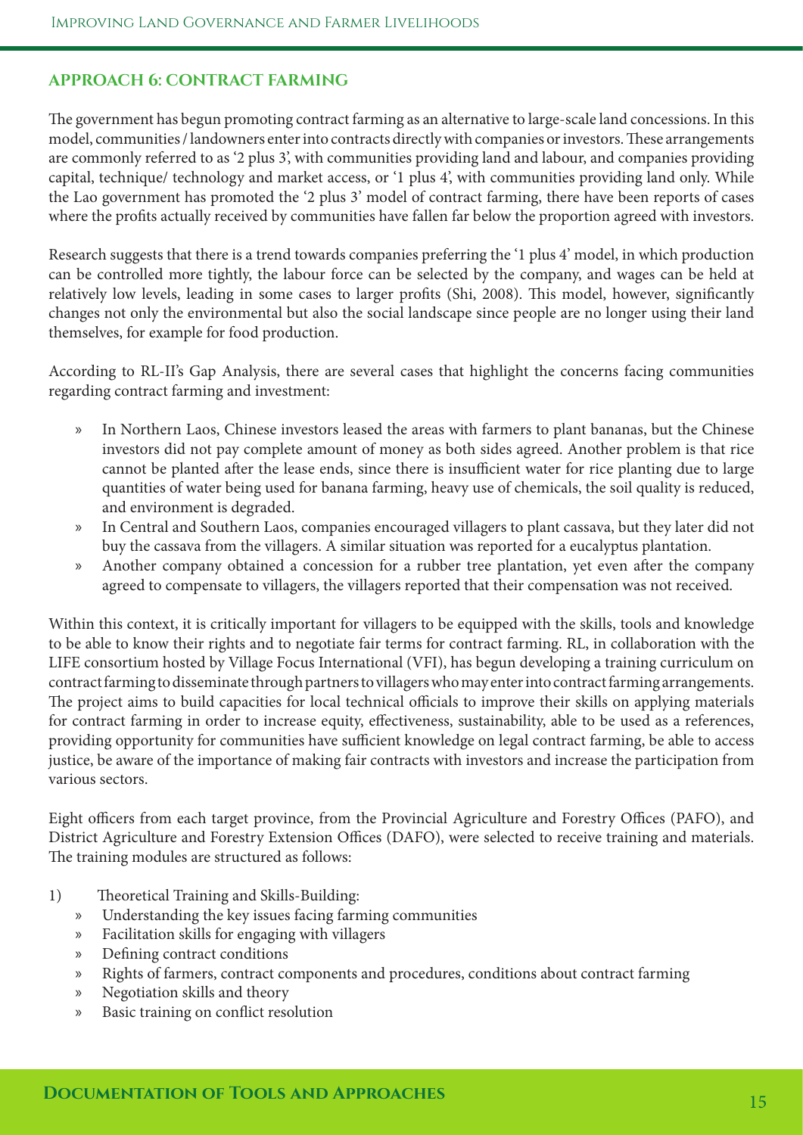#### **APPROACH 6: CONTRACT FARMING**

The government has begun promoting contract farming as an alternative to large-scale land concessions. In this model, communities / landowners enter into contracts directly with companies or investors. These arrangements are commonly referred to as '2 plus 3', with communities providing land and labour, and companies providing capital, technique/ technology and market access, or '1 plus 4', with communities providing land only. While the Lao government has promoted the '2 plus 3' model of contract farming, there have been reports of cases where the profts actually received by communities have fallen far below the proportion agreed with investors.

Research suggests that there is a trend towards companies preferring the '1 plus 4' model, in which production can be controlled more tightly, the labour force can be selected by the company, and wages can be held at relatively low levels, leading in some cases to larger profits (Shi, 2008). This model, however, significantly changes not only the environmental but also the social landscape since people are no longer using their land themselves, for example for food production.

According to RL-II's Gap Analysis, there are several cases that highlight the concerns facing communities regarding contract farming and investment:

- » In Northern Laos, Chinese investors leased the areas with farmers to plant bananas, but the Chinese investors did not pay complete amount of money as both sides agreed. Another problem is that rice cannot be planted after the lease ends, since there is insufficient water for rice planting due to large quantities of water being used for banana farming, heavy use of chemicals, the soil quality is reduced, and environment is degraded.
- » In Central and Southern Laos, companies encouraged villagers to plant cassava, but they later did not buy the cassava from the villagers. A similar situation was reported for a eucalyptus plantation.
- » Another company obtained a concession for a rubber tree plantation, yet even afer the company agreed to compensate to villagers, the villagers reported that their compensation was not received.

Within this context, it is critically important for villagers to be equipped with the skills, tools and knowledge to be able to know their rights and to negotiate fair terms for contract farming. RL, in collaboration with the LIFE consortium hosted by Village Focus International (VFI), has begun developing a training curriculum on contract farming to disseminate through partners to villagers who may enter into contract farming arrangements. The project aims to build capacities for local technical officials to improve their skills on applying materials for contract farming in order to increase equity, efectiveness, sustainability, able to be used as a references, providing opportunity for communities have sufficient knowledge on legal contract farming, be able to access justice, be aware of the importance of making fair contracts with investors and increase the participation from various sectors.

Eight officers from each target province, from the Provincial Agriculture and Forestry Offices (PAFO), and District Agriculture and Forestry Extension Offices (DAFO), were selected to receive training and materials. The training modules are structured as follows:

- 1) Theoretical Training and Skills-Building:
	- » Understanding the key issues facing farming communities
	- » Facilitation skills for engaging with villagers
	- » Defning contract conditions
	- » Rights of farmers, contract components and procedures, conditions about contract farming
	- » Negotiation skills and theory
	- » Basic training on confict resolution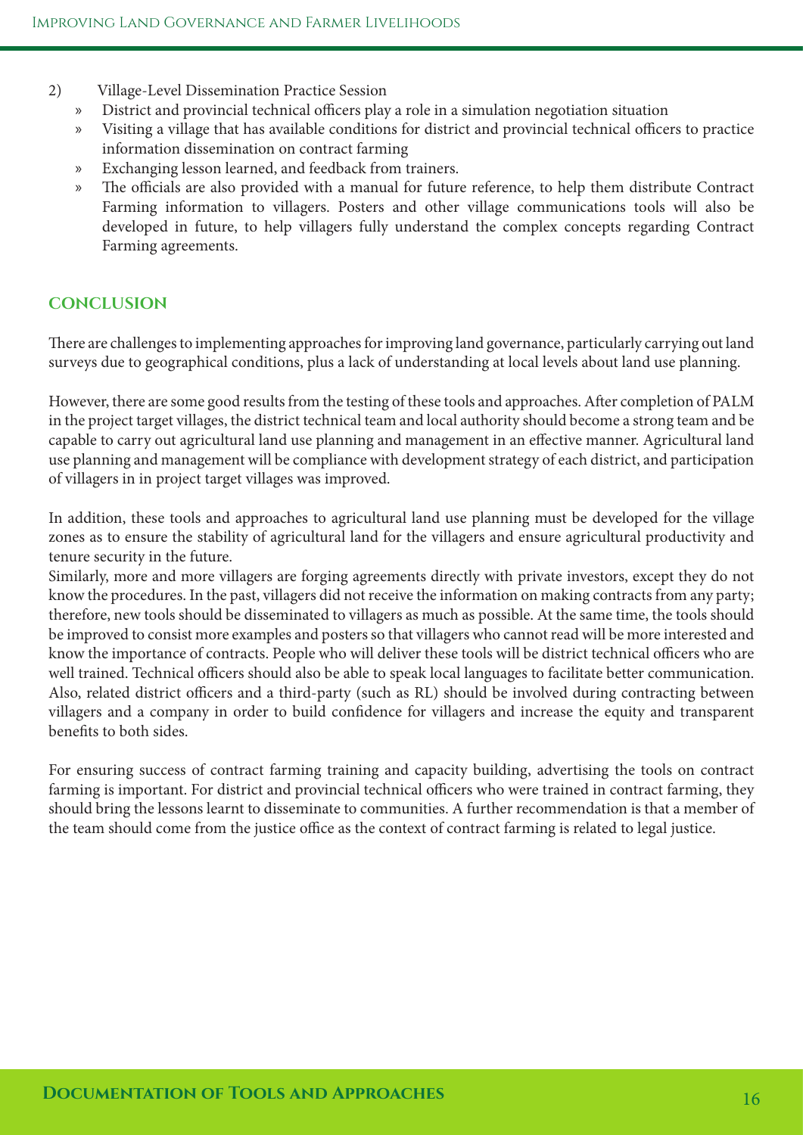- 2) Village-Level Dissemination Practice Session
	- » District and provincial technical officers play a role in a simulation negotiation situation
	- » Visiting a village that has available conditions for district and provincial technical officers to practice information dissemination on contract farming
	- » Exchanging lesson learned, and feedback from trainers.
	- » The officials are also provided with a manual for future reference, to help them distribute Contract Farming information to villagers. Posters and other village communications tools will also be developed in future, to help villagers fully understand the complex concepts regarding Contract Farming agreements.

#### **CONCLUSION**

There are challenges to implementing approaches for improving land governance, particularly carrying out land surveys due to geographical conditions, plus a lack of understanding at local levels about land use planning.

However, there are some good results from the testing of these tools and approaches. Afer completion of PALM in the project target villages, the district technical team and local authority should become a strong team and be capable to carry out agricultural land use planning and management in an efective manner. Agricultural land use planning and management will be compliance with development strategy of each district, and participation of villagers in in project target villages was improved.

In addition, these tools and approaches to agricultural land use planning must be developed for the village zones as to ensure the stability of agricultural land for the villagers and ensure agricultural productivity and tenure security in the future.

Similarly, more and more villagers are forging agreements directly with private investors, except they do not know the procedures. In the past, villagers did not receive the information on making contracts from any party; therefore, new tools should be disseminated to villagers as much as possible. At the same time, the tools should be improved to consist more examples and posters so that villagers who cannot read will be more interested and know the importance of contracts. People who will deliver these tools will be district technical officers who are well trained. Technical officers should also be able to speak local languages to facilitate better communication. Also, related district officers and a third-party (such as RL) should be involved during contracting between villagers and a company in order to build confdence for villagers and increase the equity and transparent benefts to both sides.

For ensuring success of contract farming training and capacity building, advertising the tools on contract farming is important. For district and provincial technical officers who were trained in contract farming, they should bring the lessons learnt to disseminate to communities. A further recommendation is that a member of the team should come from the justice office as the context of contract farming is related to legal justice.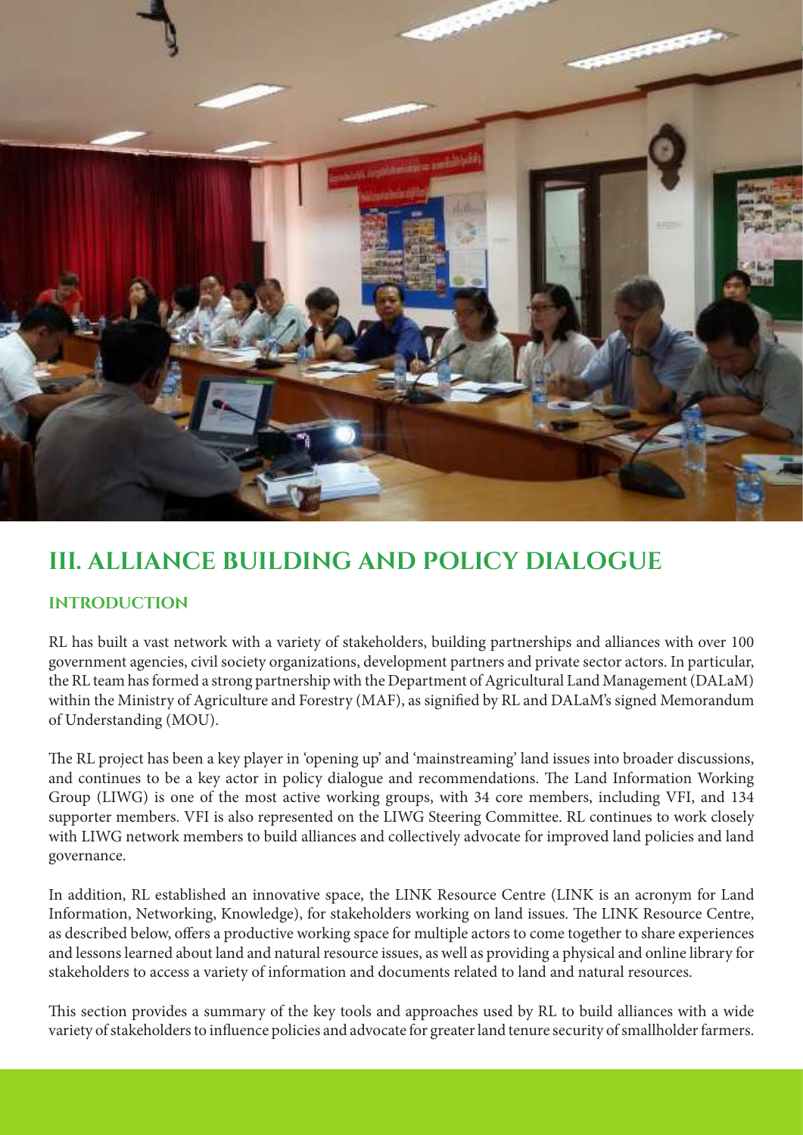

### **III. ALLIANCE BUILDING AND POLICY DIALOGUE**

#### **INTRODUCTION**

RL has built a vast network with a variety of stakeholders, building partnerships and alliances with over 100 government agencies, civil society organizations, development partners and private sector actors. In particular, the RL team has formed a strong partnership with the Department of Agricultural Land Management (DALaM) within the Ministry of Agriculture and Forestry (MAF), as signifed by RL and DALaM's signed Memorandum of Understanding (MOU).

The RL project has been a key player in 'opening up' and 'mainstreaming' land issues into broader discussions, and continues to be a key actor in policy dialogue and recommendations. The Land Information Working Group (LIWG) is one of the most active working groups, with 34 core members, including VFI, and 134 supporter members. VFI is also represented on the LIWG Steering Committee. RL continues to work closely with LIWG network members to build alliances and collectively advocate for improved land policies and land governance.

In addition, RL established an innovative space, the LINK Resource Centre (LINK is an acronym for Land Information, Networking, Knowledge), for stakeholders working on land issues. The LINK Resource Centre, as described below, ofers a productive working space for multiple actors to come together to share experiences and lessons learned about land and natural resource issues, as well as providing a physical and online library for stakeholders to access a variety of information and documents related to land and natural resources.

This section provides a summary of the key tools and approaches used by RL to build alliances with a wide variety of stakeholders to infuence policies and advocate for greater land tenure security of smallholder farmers.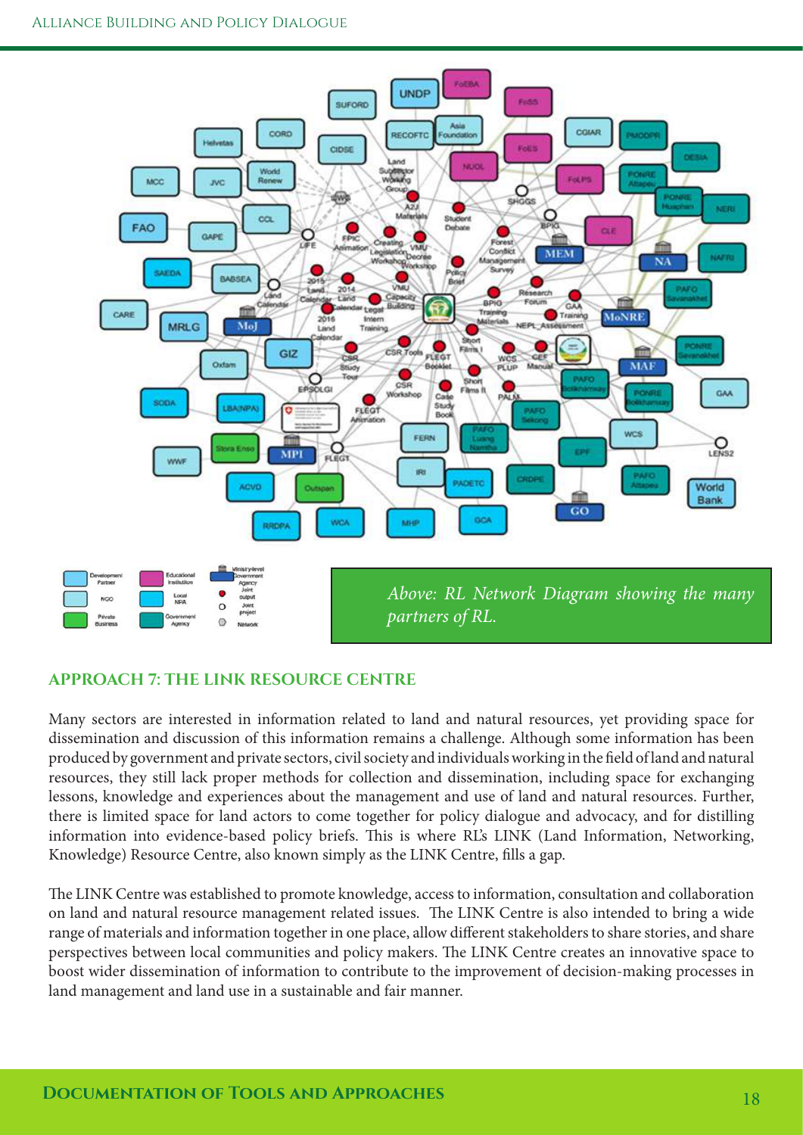

### **APPROACH 7: THE LINK RESOURCE CENTRE**

Many sectors are interested in information related to land and natural resources, yet providing space for dissemination and discussion of this information remains a challenge. Although some information has been produced by government and private sectors, civil society and individuals working in the feld of land and natural resources, they still lack proper methods for collection and dissemination, including space for exchanging lessons, knowledge and experiences about the management and use of land and natural resources. Further, there is limited space for land actors to come together for policy dialogue and advocacy, and for distilling information into evidence-based policy briefs. This is where RL's LINK (Land Information, Networking, Knowledge) Resource Centre, also known simply as the LINK Centre, flls a gap.

The LINK Centre was established to promote knowledge, access to information, consultation and collaboration on land and natural resource management related issues. The LINK Centre is also intended to bring a wide range of materials and information together in one place, allow diferent stakeholders to share stories, and share perspectives between local communities and policy makers. The LINK Centre creates an innovative space to boost wider dissemination of information to contribute to the improvement of decision-making processes in land management and land use in a sustainable and fair manner.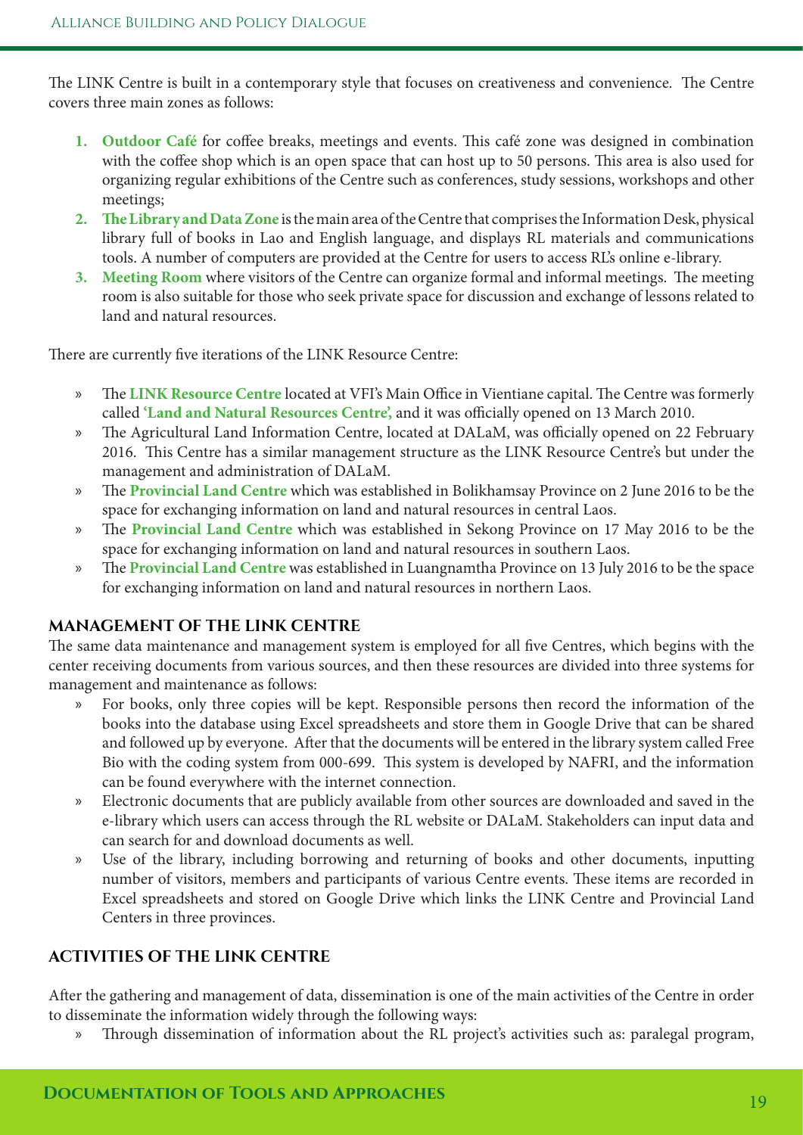The LINK Centre is built in a contemporary style that focuses on creativeness and convenience. The Centre covers three main zones as follows:

- 1. **Outdoor Café** for coffee breaks, meetings and events. This café zone was designed in combination with the coffee shop which is an open space that can host up to 50 persons. This area is also used for organizing regular exhibitions of the Centre such as conferences, study sessions, workshops and other meetings;
- **2. Te Library and Data Zone** is the main area of the Centre that comprises the Information Desk, physical library full of books in Lao and English language, and displays RL materials and communications tools. A number of computers are provided at the Centre for users to access RL's online e-library.
- **3.** Meeting Room where visitors of the Centre can organize formal and informal meetings. The meeting room is also suitable for those who seek private space for discussion and exchange of lessons related to land and natural resources.

There are currently five iterations of the LINK Resource Centre:

- » The LINK Resource Centre located at VFI's Main Office in Vientiane capital. The Centre was formerly called 'Land and Natural Resources Centre', and it was officially opened on 13 March 2010.
- » The Agricultural Land Information Centre, located at DALaM, was officially opened on 22 February 2016. This Centre has a similar management structure as the LINK Resource Centre's but under the management and administration of DALaM.
- » The Provincial Land Centre which was established in Bolikhamsay Province on 2 June 2016 to be the space for exchanging information on land and natural resources in central Laos.
- » The Provincial Land Centre which was established in Sekong Province on 17 May 2016 to be the space for exchanging information on land and natural resources in southern Laos.
- » The **Provincial Land Centre** was established in Luangnamtha Province on 13 July 2016 to be the space for exchanging information on land and natural resources in northern Laos.

#### **MANAGEMENT OF THE LINK CENTRE**

The same data maintenance and management system is employed for all five Centres, which begins with the center receiving documents from various sources, and then these resources are divided into three systems for management and maintenance as follows:

- » For books, only three copies will be kept. Responsible persons then record the information of the books into the database using Excel spreadsheets and store them in Google Drive that can be shared and followed up by everyone. Afer that the documents will be entered in the library system called Free Bio with the coding system from 000-699. This system is developed by NAFRI, and the information can be found everywhere with the internet connection.
- » Electronic documents that are publicly available from other sources are downloaded and saved in the e-library which users can access through the RL website or DALaM. Stakeholders can input data and can search for and download documents as well.
- » Use of the library, including borrowing and returning of books and other documents, inputting number of visitors, members and participants of various Centre events. These items are recorded in Excel spreadsheets and stored on Google Drive which links the LINK Centre and Provincial Land Centers in three provinces.

### **ACTIVITIES OF THE LINK CENTRE**

Afer the gathering and management of data, dissemination is one of the main activities of the Centre in order to disseminate the information widely through the following ways:

» Through dissemination of information about the RL project's activities such as: paralegal program,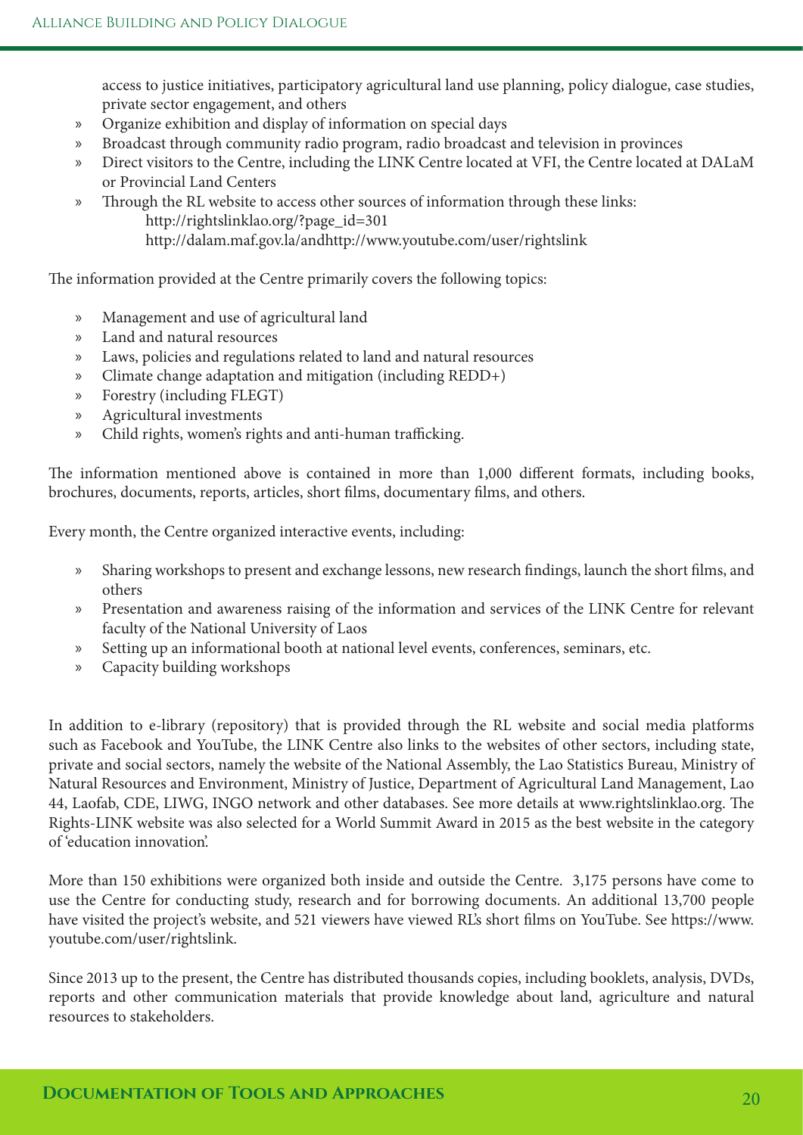access to justice initiatives, participatory agricultural land use planning, policy dialogue, case studies, private sector engagement, and others

- » Organize exhibition and display of information on special days
- » Broadcast through community radio program, radio broadcast and television in provinces
- » Direct visitors to the Centre, including the LINK Centre located at VFI, the Centre located at DALaM or Provincial Land Centers
- » Through the RL website to access other sources of information through these links: http://rightslinklao.org/?page\_id=301 http://dalam.maf.gov.la/andhttp://www.youtube.com/user/rightslink

The information provided at the Centre primarily covers the following topics:

- » Management and use of agricultural land
- » Land and natural resources
- » Laws, policies and regulations related to land and natural resources
- » Climate change adaptation and mitigation (including REDD+)
- » Forestry (including FLEGT)
- » Agricultural investments
- » Child rights, women's rights and anti-human trafficking.

The information mentioned above is contained in more than 1,000 different formats, including books, brochures, documents, reports, articles, short flms, documentary flms, and others.

Every month, the Centre organized interactive events, including:

- » Sharing workshops to present and exchange lessons, new research fndings, launch the short flms, and others
- » Presentation and awareness raising of the information and services of the LINK Centre for relevant faculty of the National University of Laos
- » Setting up an informational booth at national level events, conferences, seminars, etc.
- » Capacity building workshops

In addition to e-library (repository) that is provided through the RL website and social media platforms such as Facebook and YouTube, the LINK Centre also links to the websites of other sectors, including state, private and social sectors, namely the website of the National Assembly, the Lao Statistics Bureau, Ministry of Natural Resources and Environment, Ministry of Justice, Department of Agricultural Land Management, Lao 44, Laofab, CDE, LIWG, INGO network and other databases. See more details at www.rightslinklao.org. The Rights-LINK website was also selected for a World Summit Award in 2015 as the best website in the category of 'education innovation'.

More than 150 exhibitions were organized both inside and outside the Centre. 3,175 persons have come to use the Centre for conducting study, research and for borrowing documents. An additional 13,700 people have visited the project's website, and 521 viewers have viewed RL's short flms on YouTube. See https://www. youtube.com/user/rightslink.

Since 2013 up to the present, the Centre has distributed thousands copies, including booklets, analysis, DVDs, reports and other communication materials that provide knowledge about land, agriculture and natural resources to stakeholders.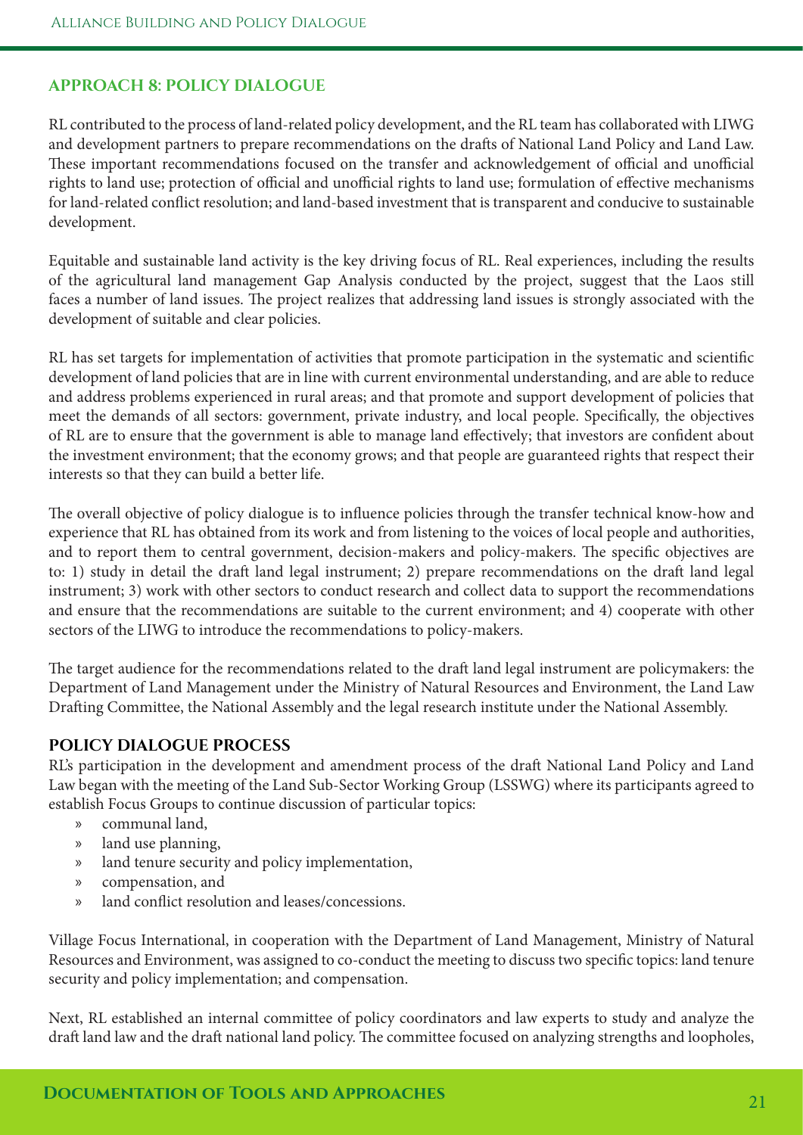#### **APPROACH 8: POLICY DIALOGUE**

RL contributed to the process of land-related policy development, and the RL team has collaborated with LIWG and development partners to prepare recommendations on the drafs of National Land Policy and Land Law. These important recommendations focused on the transfer and acknowledgement of official and unofficial rights to land use; protection of official and unofficial rights to land use; formulation of effective mechanisms for land-related confict resolution; and land-based investment that is transparent and conducive to sustainable development.

Equitable and sustainable land activity is the key driving focus of RL. Real experiences, including the results of the agricultural land management Gap Analysis conducted by the project, suggest that the Laos still faces a number of land issues. The project realizes that addressing land issues is strongly associated with the development of suitable and clear policies.

RL has set targets for implementation of activities that promote participation in the systematic and scientifc development of land policies that are in line with current environmental understanding, and are able to reduce and address problems experienced in rural areas; and that promote and support development of policies that meet the demands of all sectors: government, private industry, and local people. Specifcally, the objectives of RL are to ensure that the government is able to manage land efectively; that investors are confdent about the investment environment; that the economy grows; and that people are guaranteed rights that respect their interests so that they can build a better life.

The overall objective of policy dialogue is to influence policies through the transfer technical know-how and experience that RL has obtained from its work and from listening to the voices of local people and authorities, and to report them to central government, decision-makers and policy-makers. The specific objectives are to: 1) study in detail the draft land legal instrument; 2) prepare recommendations on the draft land legal instrument; 3) work with other sectors to conduct research and collect data to support the recommendations and ensure that the recommendations are suitable to the current environment; and 4) cooperate with other sectors of the LIWG to introduce the recommendations to policy-makers.

The target audience for the recommendations related to the draft land legal instrument are policymakers: the Department of Land Management under the Ministry of Natural Resources and Environment, the Land Law Drafing Committee, the National Assembly and the legal research institute under the National Assembly.

#### **POLICY DIALOGUE PROCESS**

RL's participation in the development and amendment process of the draft National Land Policy and Land Law began with the meeting of the Land Sub-Sector Working Group (LSSWG) where its participants agreed to establish Focus Groups to continue discussion of particular topics:

- » communal land,
- » land use planning,
- » land tenure security and policy implementation,
- » compensation, and
- » land confict resolution and leases/concessions.

Village Focus International, in cooperation with the Department of Land Management, Ministry of Natural Resources and Environment, was assigned to co-conduct the meeting to discuss two specifc topics: land tenure security and policy implementation; and compensation.

Next, RL established an internal committee of policy coordinators and law experts to study and analyze the draft land law and the draft national land policy. The committee focused on analyzing strengths and loopholes,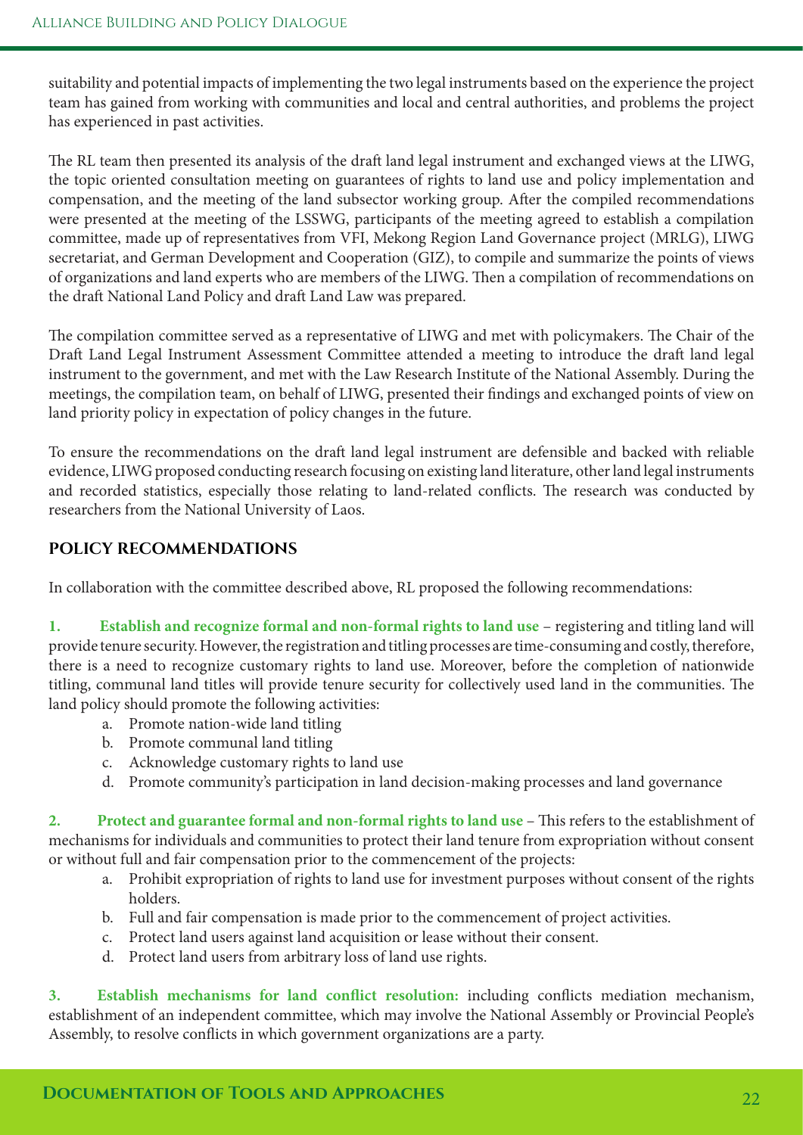suitability and potential impacts of implementing the two legal instruments based on the experience the project team has gained from working with communities and local and central authorities, and problems the project has experienced in past activities.

The RL team then presented its analysis of the draft land legal instrument and exchanged views at the LIWG, the topic oriented consultation meeting on guarantees of rights to land use and policy implementation and compensation, and the meeting of the land subsector working group. Afer the compiled recommendations were presented at the meeting of the LSSWG, participants of the meeting agreed to establish a compilation committee, made up of representatives from VFI, Mekong Region Land Governance project (MRLG), LIWG secretariat, and German Development and Cooperation (GIZ), to compile and summarize the points of views of organizations and land experts who are members of the LIWG. Then a compilation of recommendations on the draft National Land Policy and draft Land Law was prepared.

The compilation committee served as a representative of LIWG and met with policymakers. The Chair of the Draft Land Legal Instrument Assessment Committee attended a meeting to introduce the draft land legal instrument to the government, and met with the Law Research Institute of the National Assembly. During the meetings, the compilation team, on behalf of LIWG, presented their fndings and exchanged points of view on land priority policy in expectation of policy changes in the future.

To ensure the recommendations on the draft land legal instrument are defensible and backed with reliable evidence, LIWG proposed conducting research focusing on existing land literature, other land legal instruments and recorded statistics, especially those relating to land-related conflicts. The research was conducted by researchers from the National University of Laos.

#### **POLICY RECOMMENDATIONS**

In collaboration with the committee described above, RL proposed the following recommendations:

**1. Establish and recognize formal and non-formal rights to land use** – registering and titling land will provide tenure security. However, the registration and titling processes are time-consuming and costly, therefore, there is a need to recognize customary rights to land use. Moreover, before the completion of nationwide titling, communal land titles will provide tenure security for collectively used land in the communities. The land policy should promote the following activities:

- a. Promote nation-wide land titling
- b. Promote communal land titling
- c. Acknowledge customary rights to land use
- d. Promote community's participation in land decision-making processes and land governance

2. Protect and guarantee formal and non-formal rights to land use – This refers to the establishment of mechanisms for individuals and communities to protect their land tenure from expropriation without consent or without full and fair compensation prior to the commencement of the projects:

- a. Prohibit expropriation of rights to land use for investment purposes without consent of the rights holders.
- b. Full and fair compensation is made prior to the commencement of project activities.
- c. Protect land users against land acquisition or lease without their consent.
- d. Protect land users from arbitrary loss of land use rights.

**3. Establish mechanisms for land confict resolution:** including conficts mediation mechanism, establishment of an independent committee, which may involve the National Assembly or Provincial People's Assembly, to resolve conficts in which government organizations are a party.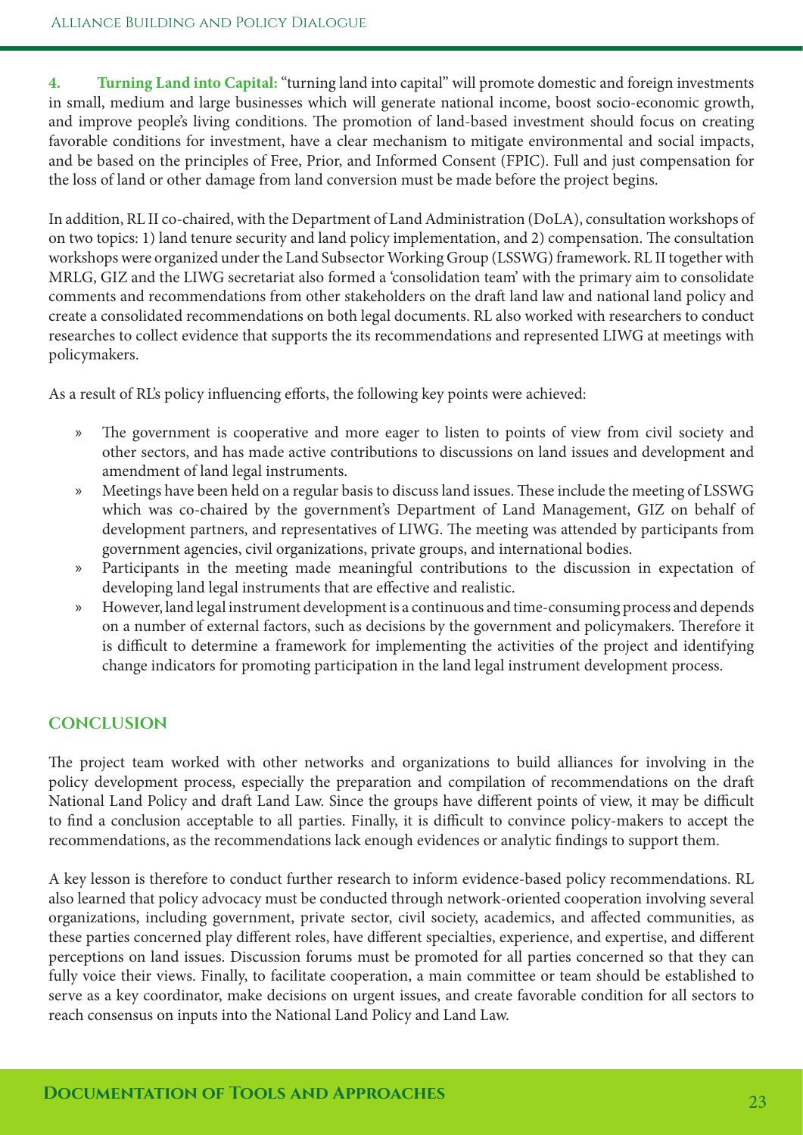**4. Turning Land into Capital:** "turning land into capital" will promote domestic and foreign investments in small, medium and large businesses which will generate national income, boost socio-economic growth, and improve people's living conditions. The promotion of land-based investment should focus on creating favorable conditions for investment, have a clear mechanism to mitigate environmental and social impacts, and be based on the principles of Free, Prior, and Informed Consent (FPIC). Full and just compensation for the loss of land or other damage from land conversion must be made before the project begins.

In addition, RL II co-chaired, with the Department of Land Administration (DoLA), consultation workshops of on two topics: 1) land tenure security and land policy implementation, and 2) compensation. The consultation workshops were organized under the Land Subsector Working Group (LSSWG) framework. RL II together with MRLG, GIZ and the LIWG secretariat also formed a 'consolidation team' with the primary aim to consolidate comments and recommendations from other stakeholders on the draft land law and national land policy and create a consolidated recommendations on both legal documents. RL also worked with researchers to conduct researches to collect evidence that supports the its recommendations and represented LIWG at meetings with policymakers.

As a result of RL's policy infuencing eforts, the following key points were achieved:

- » The government is cooperative and more eager to listen to points of view from civil society and other sectors, and has made active contributions to discussions on land issues and development and amendment of land legal instruments.
- » Meetings have been held on a regular basis to discuss land issues. These include the meeting of LSSWG which was co-chaired by the government's Department of Land Management, GIZ on behalf of development partners, and representatives of LIWG. The meeting was attended by participants from government agencies, civil organizations, private groups, and international bodies.
- » Participants in the meeting made meaningful contributions to the discussion in expectation of developing land legal instruments that are efective and realistic.
- » However, land legal instrument development is a continuous and time-consuming process and depends on a number of external factors, such as decisions by the government and policymakers. Therefore it is difficult to determine a framework for implementing the activities of the project and identifying change indicators for promoting participation in the land legal instrument development process.

#### **CONCLUSION**

The project team worked with other networks and organizations to build alliances for involving in the policy development process, especially the preparation and compilation of recommendations on the draf National Land Policy and draft Land Law. Since the groups have different points of view, it may be difficult to find a conclusion acceptable to all parties. Finally, it is difficult to convince policy-makers to accept the recommendations, as the recommendations lack enough evidences or analytic fndings to support them.

A key lesson is therefore to conduct further research to inform evidence-based policy recommendations. RL also learned that policy advocacy must be conducted through network-oriented cooperation involving several organizations, including government, private sector, civil society, academics, and afected communities, as these parties concerned play diferent roles, have diferent specialties, experience, and expertise, and diferent perceptions on land issues. Discussion forums must be promoted for all parties concerned so that they can fully voice their views. Finally, to facilitate cooperation, a main committee or team should be established to serve as a key coordinator, make decisions on urgent issues, and create favorable condition for all sectors to reach consensus on inputs into the National Land Policy and Land Law.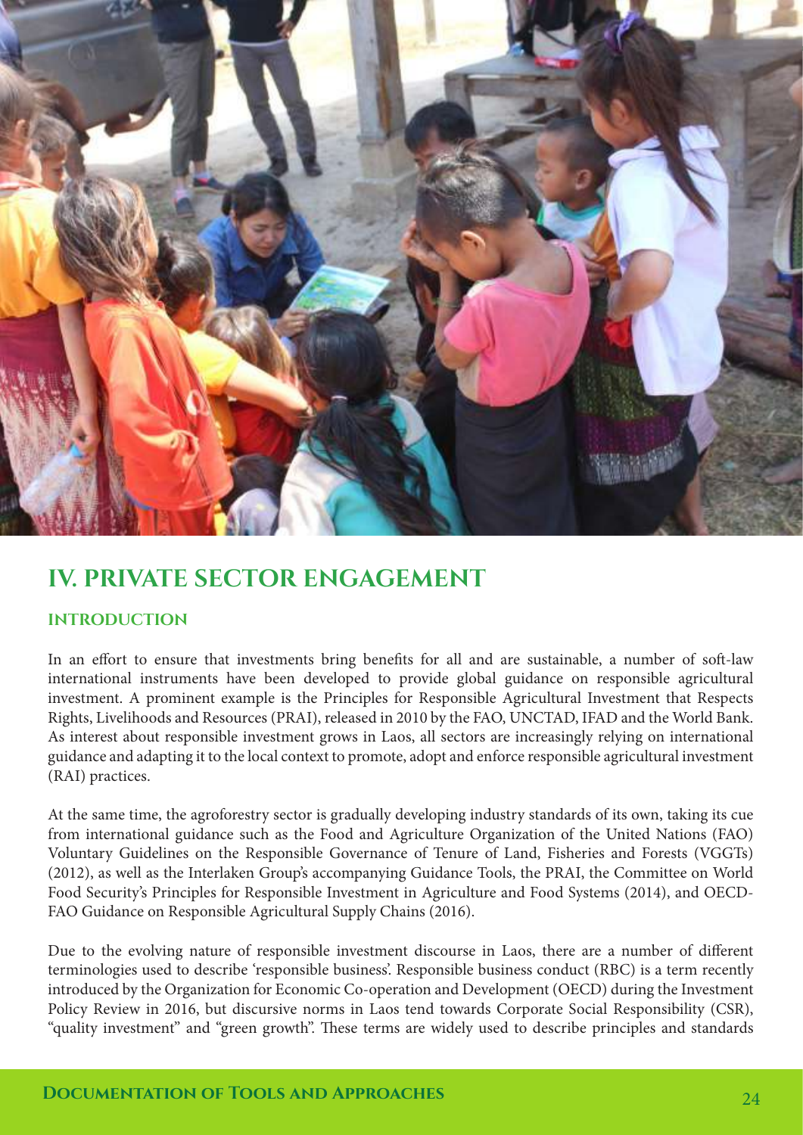

### **IV. PRIVATE SECTOR ENGAGEMENT**

#### **INTRODUCTION**

In an effort to ensure that investments bring benefits for all and are sustainable, a number of soft-law international instruments have been developed to provide global guidance on responsible agricultural investment. A prominent example is the Principles for Responsible Agricultural Investment that Respects Rights, Livelihoods and Resources (PRAI), released in 2010 by the FAO, UNCTAD, IFAD and the World Bank. As interest about responsible investment grows in Laos, all sectors are increasingly relying on international guidance and adapting it to the local context to promote, adopt and enforce responsible agricultural investment (RAI) practices.

At the same time, the agroforestry sector is gradually developing industry standards of its own, taking its cue from international guidance such as the Food and Agriculture Organization of the United Nations (FAO) Voluntary Guidelines on the Responsible Governance of Tenure of Land, Fisheries and Forests (VGGTs) (2012), as well as the Interlaken Group's accompanying Guidance Tools, the PRAI, the Committee on World Food Security's Principles for Responsible Investment in Agriculture and Food Systems (2014), and OECD-FAO Guidance on Responsible Agricultural Supply Chains (2016).

Due to the evolving nature of responsible investment discourse in Laos, there are a number of diferent terminologies used to describe 'responsible business'. Responsible business conduct (RBC) is a term recently introduced by the Organization for Economic Co-operation and Development (OECD) during the Investment Policy Review in 2016, but discursive norms in Laos tend towards Corporate Social Responsibility (CSR), "quality investment" and "green growth". These terms are widely used to describe principles and standards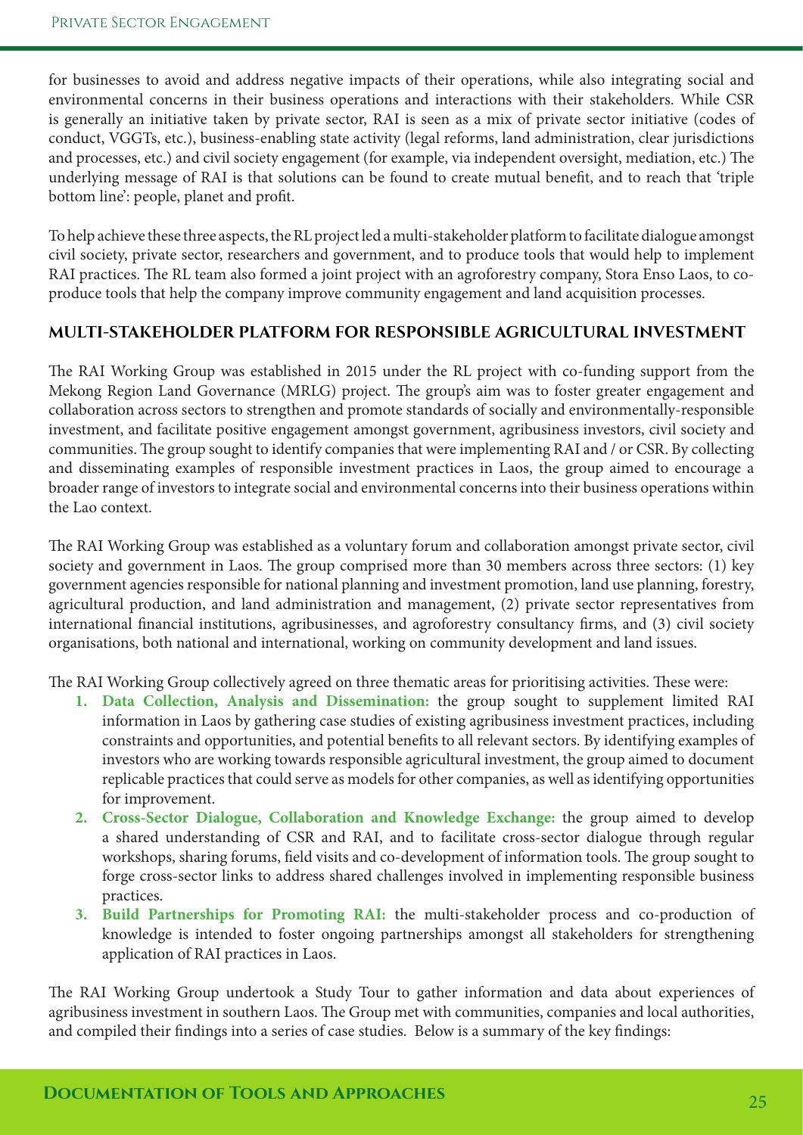for businesses to avoid and address negative impacts of their operations, while also integrating social and environmental concerns in their business operations and interactions with their stakeholders. While CSR is generally an initiative taken by private sector, RAI is seen as a mix of private sector initiative (codes of conduct, VGGTs, etc.), business-enabling state activity (legal reforms, land administration, clear jurisdictions and processes, etc.) and civil society engagement (for example, via independent oversight, mediation, etc.) The underlying message of RAI is that solutions can be found to create mutual beneft, and to reach that 'triple bottom line': people, planet and proft.

To help achieve these three aspects, the RL project led a multi-stakeholder platform to facilitate dialogue amongst civil society, private sector, researchers and government, and to produce tools that would help to implement RAI practices. The RL team also formed a joint project with an agroforestry company, Stora Enso Laos, to coproduce tools that help the company improve community engagement and land acquisition processes.

#### **MULTI-STAKEHOLDER PLATFORM FOR RESPONSIBLE AGRICULTURAL INVESTMENT**

The RAI Working Group was established in 2015 under the RL project with co-funding support from the Mekong Region Land Governance (MRLG) project. The group's aim was to foster greater engagement and collaboration across sectors to strengthen and promote standards of socially and environmentally-responsible investment, and facilitate positive engagement amongst government, agribusiness investors, civil society and communities. The group sought to identify companies that were implementing RAI and / or CSR. By collecting and disseminating examples of responsible investment practices in Laos, the group aimed to encourage a broader range of investors to integrate social and environmental concerns into their business operations within the Lao context.

The RAI Working Group was established as a voluntary forum and collaboration amongst private sector, civil society and government in Laos. The group comprised more than 30 members across three sectors: (1) key government agencies responsible for national planning and investment promotion, land use planning, forestry, agricultural production, and land administration and management, (2) private sector representatives from international fnancial institutions, agribusinesses, and agroforestry consultancy frms, and (3) civil society organisations, both national and international, working on community development and land issues.

The RAI Working Group collectively agreed on three thematic areas for prioritising activities. These were:

- **1. Data Collection, Analysis and Dissemination:** the group sought to supplement limited RAI information in Laos by gathering case studies of existing agribusiness investment practices, including constraints and opportunities, and potential benefts to all relevant sectors. By identifying examples of investors who are working towards responsible agricultural investment, the group aimed to document replicable practices that could serve as models for other companies, as well as identifying opportunities for improvement.
- **2. Cross-Sector Dialogue, Collaboration and Knowledge Exchange:** the group aimed to develop a shared understanding of CSR and RAI, and to facilitate cross-sector dialogue through regular workshops, sharing forums, field visits and co-development of information tools. The group sought to forge cross-sector links to address shared challenges involved in implementing responsible business practices.
- **3. Build Partnerships for Promoting RAI:** the multi-stakeholder process and co-production of knowledge is intended to foster ongoing partnerships amongst all stakeholders for strengthening application of RAI practices in Laos.

The RAI Working Group undertook a Study Tour to gather information and data about experiences of agribusiness investment in southern Laos. The Group met with communities, companies and local authorities, and compiled their fndings into a series of case studies. Below is a summary of the key fndings: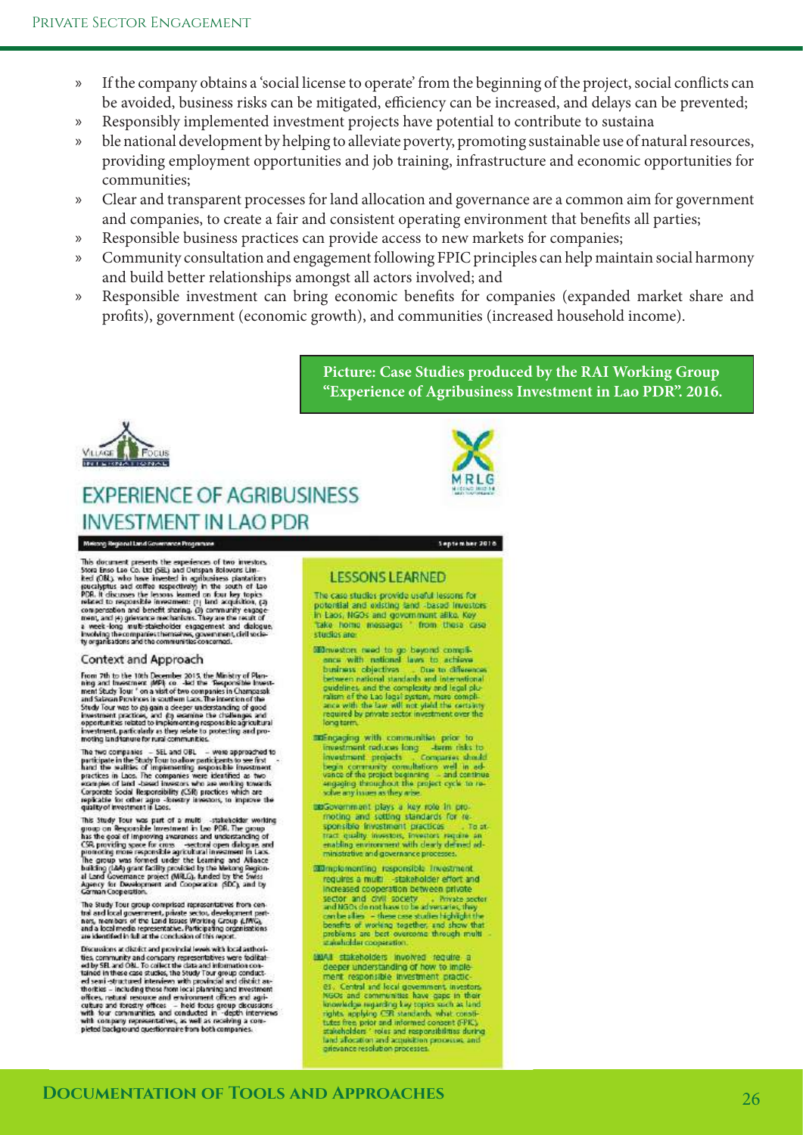- » If the company obtains a 'social license to operate' from the beginning of the project, social conficts can be avoided, business risks can be mitigated, efficiency can be increased, and delays can be prevented;
- » Responsibly implemented investment projects have potential to contribute to sustaina
- » ble national development by helping to alleviate poverty, promoting sustainable use of natural resources, providing employment opportunities and job training, infrastructure and economic opportunities for communities;
- » Clear and transparent processes for land allocation and governance are a common aim for government and companies, to create a fair and consistent operating environment that benefts all parties;
- » Responsible business practices can provide access to new markets for companies;
- » Community consultation and engagement following FPIC principles can help maintain social harmony and build better relationships amongst all actors involved; and
- » Responsible investment can bring economic benefts for companies (expanded market share and profts), government (economic growth), and communities (increased household income).

**Picture: Case Studies produced by the RAI Working Group "Experience of Agribusiness Investment in Lao PDR". 2016.**



### **EXPERIENCE OF AGRIBUSINESS INVESTMENT IN LAO PDR**



Mekang Regional Land Governance Programme

This document presents the experiences of two investors.<br>Stora Enso Lao Co. Ltd (SEL) and Outspan Boloward Lin-<br>heat (OM), who have invested in againstances plantation<br>procedures when the scalar presentation of the scalar For the presence of the state of the comparation and benefit shoring. (3) community expagement, and (4) gives<br>mem, and (4) gives mechanisms. They are the result of<br>a week-long multi-stateholder expagement and dalogue,<br>the

#### Context and Approach

From 7th to the 10th December 2015, the Ministry of Planning and Insections in MPI co. - Act the Testporalis Insection must Study Tour in our particle in the State and State and Planning and State and State and Planning S investment, particularly as they relate to protecting and pro-<br>moting land lanure for rural communities.

now a comparison with a set and OBL – were approached to participate in the Study Tour to allow participates to see first hand the wallfiles of implementing responsible investment particle in the Study Tour to allow perfor

quarty of measurement in Last.<br>
This Study Team of a multi-stateholder working<br>
group on Responsible Investment in Lee PDR. The group<br>
has the goal of improving averages and understanding of<br>
parameting more for cross --s

The Study Tour group comprised representatives from central and local government, private sector, development part-<br>nex, members of the Land Issues Working Group (LIWG),<br>and a local media representative. Participating organisations are identified in full at the conclusion of this report

are seemes and a transfer and provided levels with local authorities, community and company representatives were foolitations of the scalar of the case of the star of the stars and information constructed testing the stars

#### September 2018

#### **LESSONS LEARNED**

The case studies provide useful lessons for potential and existing land -based Investors<br>In Laos, NGOs and government alike, Key<br>Take Tome Invessages \* from these case studios are

- $\begin{tabular}{l|l|l|} \hline \textbf{M} \textbf{N} \textbf{m} \textbf{a} \textbf{t} \textbf{c} \textbf{m} \textbf{c} \textbf{b} \textbf{c} \textbf{b} \textbf{c} \textbf{b} \textbf{c} \textbf{c} \textbf{b} \textbf{c} \textbf{c} \textbf{c} \textbf{b} \textbf{c} \textbf{c} \textbf{c} \textbf{b} \textbf{c} \textbf{c} \textbf{c} \textbf{c} \textbf{b} \textbf{c} \textbf{c} \textbf{c} \textbf{b} \textbf{c}$ between rational standards and the<br>complexity and degal plu-<br>ration of the complexity and legal plu-<br>ration of the Lao logal system, more compli-<br>ancal with the Law will not yield the certainty<br>long-term.
- assengaging with communities prior to investment radices long a semi-fisk to<br>investment projects compares should<br>begin community consultations well in ed-<br>vance of the project beginning a and centrius<br>sugging throughout the project cycle to resolve any inner as they aris
- upGovernment plays a key role in promoting and setting standards for responsible investment practices to at the space and<br>that quality investors, investors require and<br>enabling environment with dearly defined ad-To at. ministrative and governance processes
- **Bunplementing** responsible Investment requires a multi -stakeholder effort and increased cooperation between private sector and ONI society. Threats sector<br>and NGCs do not have to be adversaried they<br>conclude also – these case studies highly done<br>the best of working together, and show that preference of working together,<br>and show that an
- MAAI stakeholders involved require a deeper understanding of how to implement responsible investment practic es. Central and local government, investors<br>NGOs and communities have gaps in their knowledge regarding key copies such as land<br>rights, applying CSR standards, what constitutes free, prior and informed consent (FPK) stakeholders." roles and responsibilities during<br>land allocation and acquisition processes and<br>grievance resolution processes.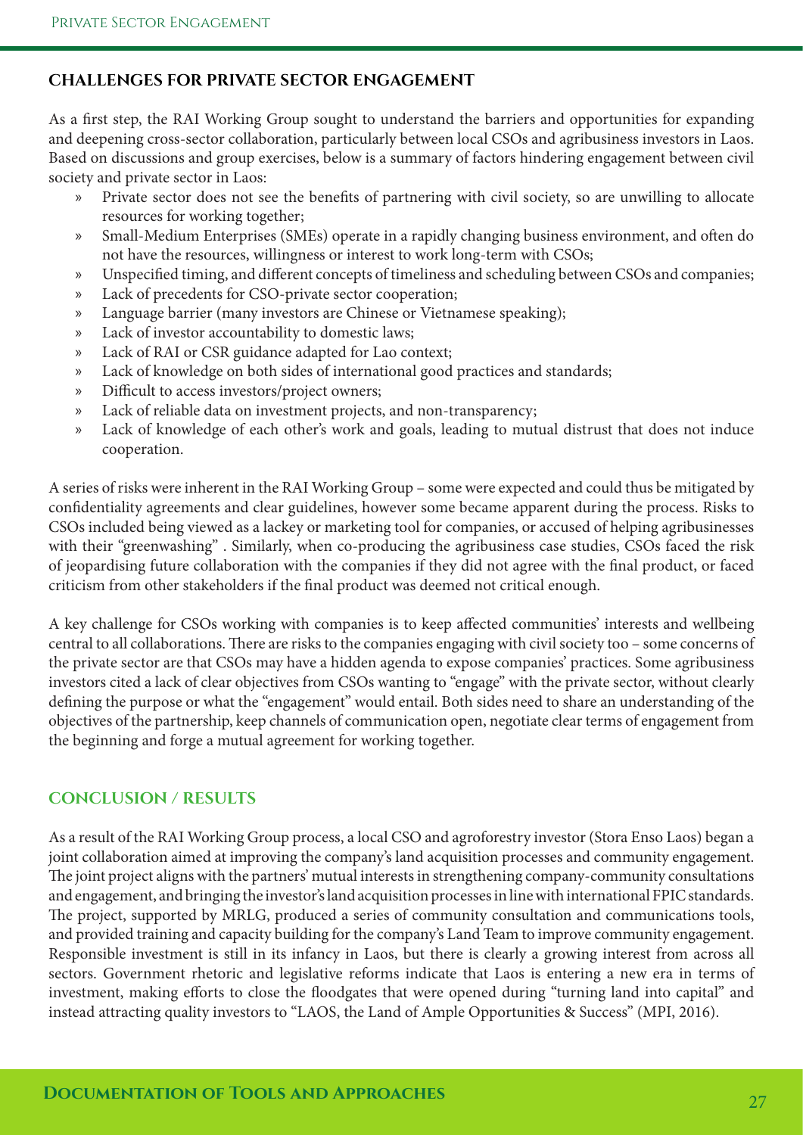#### **CHALLENGES FOR PRIVATE SECTOR ENGAGEMENT**

As a frst step, the RAI Working Group sought to understand the barriers and opportunities for expanding and deepening cross-sector collaboration, particularly between local CSOs and agribusiness investors in Laos. Based on discussions and group exercises, below is a summary of factors hindering engagement between civil society and private sector in Laos:

- » Private sector does not see the benefts of partnering with civil society, so are unwilling to allocate resources for working together;
- » Small-Medium Enterprises (SMEs) operate in a rapidly changing business environment, and ofen do not have the resources, willingness or interest to work long-term with CSOs;
- » Unspecifed timing, and diferent concepts of timeliness and scheduling between CSOs and companies;
- » Lack of precedents for CSO-private sector cooperation;
- » Language barrier (many investors are Chinese or Vietnamese speaking);
- » Lack of investor accountability to domestic laws;
- » Lack of RAI or CSR guidance adapted for Lao context;
- » Lack of knowledge on both sides of international good practices and standards;
- » Difficult to access investors/project owners;
- » Lack of reliable data on investment projects, and non-transparency;
- » Lack of knowledge of each other's work and goals, leading to mutual distrust that does not induce cooperation.

A series of risks were inherent in the RAI Working Group – some were expected and could thus be mitigated by confdentiality agreements and clear guidelines, however some became apparent during the process. Risks to CSOs included being viewed as a lackey or marketing tool for companies, or accused of helping agribusinesses with their "greenwashing" . Similarly, when co-producing the agribusiness case studies, CSOs faced the risk of jeopardising future collaboration with the companies if they did not agree with the fnal product, or faced criticism from other stakeholders if the fnal product was deemed not critical enough.

A key challenge for CSOs working with companies is to keep afected communities' interests and wellbeing central to all collaborations. There are risks to the companies engaging with civil society too – some concerns of the private sector are that CSOs may have a hidden agenda to expose companies' practices. Some agribusiness investors cited a lack of clear objectives from CSOs wanting to "engage" with the private sector, without clearly defning the purpose or what the "engagement" would entail. Both sides need to share an understanding of the objectives of the partnership, keep channels of communication open, negotiate clear terms of engagement from the beginning and forge a mutual agreement for working together.

#### **CONCLUSION / RESULTS**

As a result of the RAI Working Group process, a local CSO and agroforestry investor (Stora Enso Laos) began a joint collaboration aimed at improving the company's land acquisition processes and community engagement. The joint project aligns with the partners' mutual interests in strengthening company-community consultations and engagement, and bringing the investor's land acquisition processes in line with international FPIC standards. The project, supported by MRLG, produced a series of community consultation and communications tools, and provided training and capacity building for the company's Land Team to improve community engagement. Responsible investment is still in its infancy in Laos, but there is clearly a growing interest from across all sectors. Government rhetoric and legislative reforms indicate that Laos is entering a new era in terms of investment, making efforts to close the floodgates that were opened during "turning land into capital" and instead attracting quality investors to "LAOS, the Land of Ample Opportunities & Success" (MPI, 2016).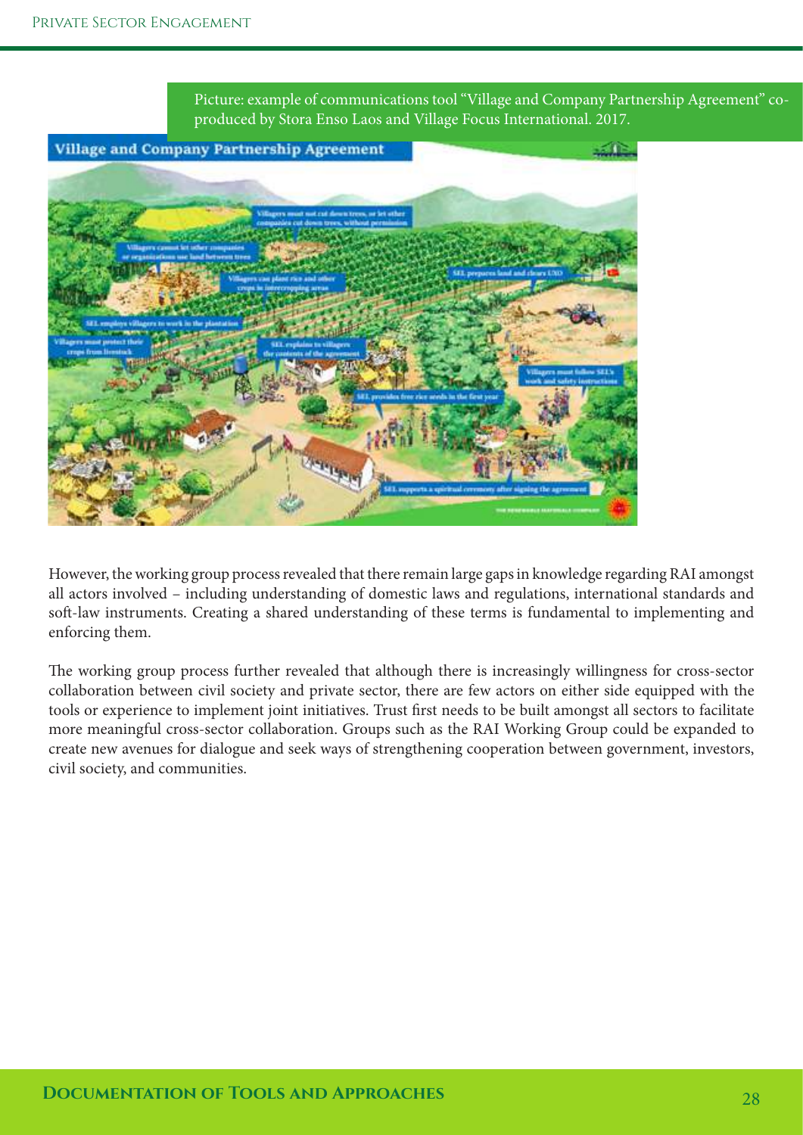Picture: example of communications tool "Village and Company Partnership Agreement" coproduced by Stora Enso Laos and Village Focus International. 2017.





However, the working group process revealed that there remain large gaps in knowledge regarding RAI amongst all actors involved – including understanding of domestic laws and regulations, international standards and soft-law instruments. Creating a shared understanding of these terms is fundamental to implementing and enforcing them.

The working group process further revealed that although there is increasingly willingness for cross-sector collaboration between civil society and private sector, there are few actors on either side equipped with the tools or experience to implement joint initiatives. Trust frst needs to be built amongst all sectors to facilitate more meaningful cross-sector collaboration. Groups such as the RAI Working Group could be expanded to create new avenues for dialogue and seek ways of strengthening cooperation between government, investors, civil society, and communities.